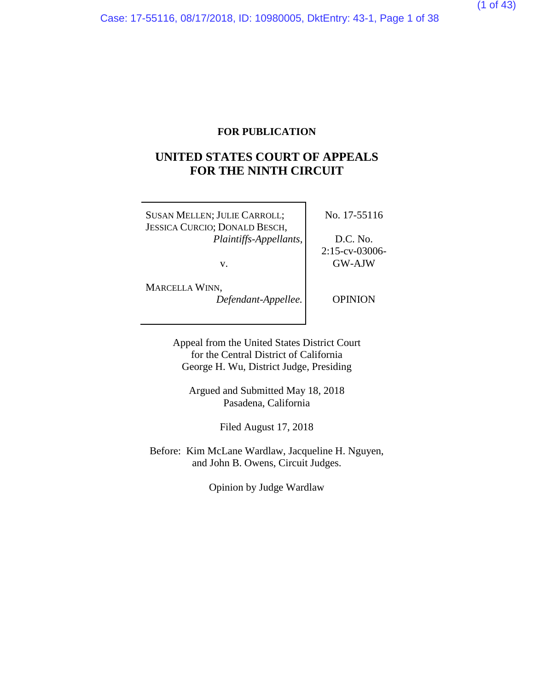## **FOR PUBLICATION**

# **UNITED STATES COURT OF APPEALS FOR THE NINTH CIRCUIT**

SUSAN MELLEN; JULIE CARROLL; JESSICA CURCIO; DONALD BESCH, *Plaintiffs-Appellants*,

v.

No. 17-55116

D.C. No. 2:15-cv-03006- GW-AJW

MARCELLA WINN,

*Defendant-Appellee.*

**OPINION** 

Appeal from the United States District Court for the Central District of California George H. Wu, District Judge, Presiding

Argued and Submitted May 18, 2018 Pasadena, California

Filed August 17, 2018

Before: Kim McLane Wardlaw, Jacqueline H. Nguyen, and John B. Owens, Circuit Judges.

Opinion by Judge Wardlaw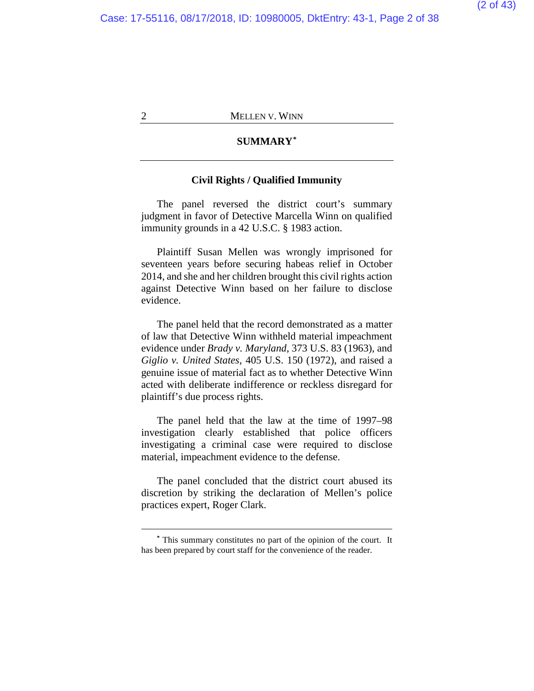### **SUMMARY[\\*](#page-1-0)**

## **Civil Rights / Qualified Immunity**

The panel reversed the district court's summary judgment in favor of Detective Marcella Winn on qualified immunity grounds in a 42 U.S.C. § 1983 action.

Plaintiff Susan Mellen was wrongly imprisoned for seventeen years before securing habeas relief in October 2014, and she and her children brought this civil rights action against Detective Winn based on her failure to disclose evidence.

The panel held that the record demonstrated as a matter of law that Detective Winn withheld material impeachment evidence under *Brady v. Maryland*, 373 U.S. 83 (1963), and *Giglio v. United States*, 405 U.S. 150 (1972), and raised a genuine issue of material fact as to whether Detective Winn acted with deliberate indifference or reckless disregard for plaintiff's due process rights.

The panel held that the law at the time of 1997–98 investigation clearly established that police officers investigating a criminal case were required to disclose material, impeachment evidence to the defense.

The panel concluded that the district court abused its discretion by striking the declaration of Mellen's police practices expert, Roger Clark.

<span id="page-1-0"></span>**<sup>\*</sup>** This summary constitutes no part of the opinion of the court. It has been prepared by court staff for the convenience of the reader.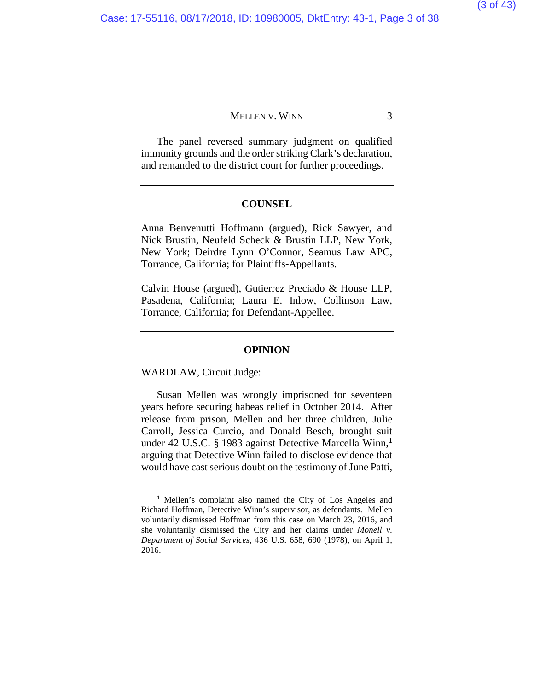The panel reversed summary judgment on qualified immunity grounds and the order striking Clark's declaration, and remanded to the district court for further proceedings.

#### **COUNSEL**

Anna Benvenutti Hoffmann (argued), Rick Sawyer, and Nick Brustin, Neufeld Scheck & Brustin LLP, New York, New York; Deirdre Lynn O'Connor, Seamus Law APC, Torrance, California; for Plaintiffs-Appellants.

Calvin House (argued), Gutierrez Preciado & House LLP, Pasadena, California; Laura E. Inlow, Collinson Law, Torrance, California; for Defendant-Appellee.

#### **OPINION**

WARDLAW, Circuit Judge:

 $\overline{a}$ 

Susan Mellen was wrongly imprisoned for seventeen years before securing habeas relief in October 2014. After release from prison, Mellen and her three children, Julie Carroll, Jessica Curcio, and Donald Besch, brought suit under 42 U.S.C. § 1983 against Detective Marcella Winn,**[1](#page-2-0)** arguing that Detective Winn failed to disclose evidence that would have cast serious doubt on the testimony of June Patti,

<span id="page-2-0"></span>**<sup>1</sup>** Mellen's complaint also named the City of Los Angeles and Richard Hoffman, Detective Winn's supervisor, as defendants. Mellen voluntarily dismissed Hoffman from this case on March 23, 2016, and she voluntarily dismissed the City and her claims under *Monell v. Department of Social Services*, 436 U.S. 658, 690 (1978), on April 1, 2016.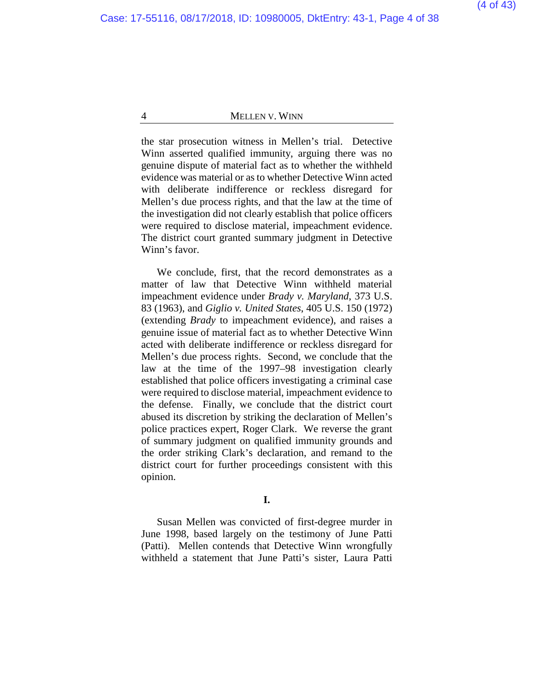the star prosecution witness in Mellen's trial. Detective Winn asserted qualified immunity, arguing there was no genuine dispute of material fact as to whether the withheld evidence was material or as to whether Detective Winn acted with deliberate indifference or reckless disregard for Mellen's due process rights, and that the law at the time of the investigation did not clearly establish that police officers were required to disclose material, impeachment evidence. The district court granted summary judgment in Detective Winn's favor.

We conclude, first, that the record demonstrates as a matter of law that Detective Winn withheld material impeachment evidence under *Brady v. Maryland*, 373 U.S. 83 (1963), and *Giglio v. United States*, 405 U.S. 150 (1972) (extending *Brady* to impeachment evidence), and raises a genuine issue of material fact as to whether Detective Winn acted with deliberate indifference or reckless disregard for Mellen's due process rights. Second, we conclude that the law at the time of the 1997–98 investigation clearly established that police officers investigating a criminal case were required to disclose material, impeachment evidence to the defense. Finally, we conclude that the district court abused its discretion by striking the declaration of Mellen's police practices expert, Roger Clark. We reverse the grant of summary judgment on qualified immunity grounds and the order striking Clark's declaration, and remand to the district court for further proceedings consistent with this opinion.

Susan Mellen was convicted of first-degree murder in June 1998, based largely on the testimony of June Patti (Patti). Mellen contends that Detective Winn wrongfully withheld a statement that June Patti's sister, Laura Patti

**I.**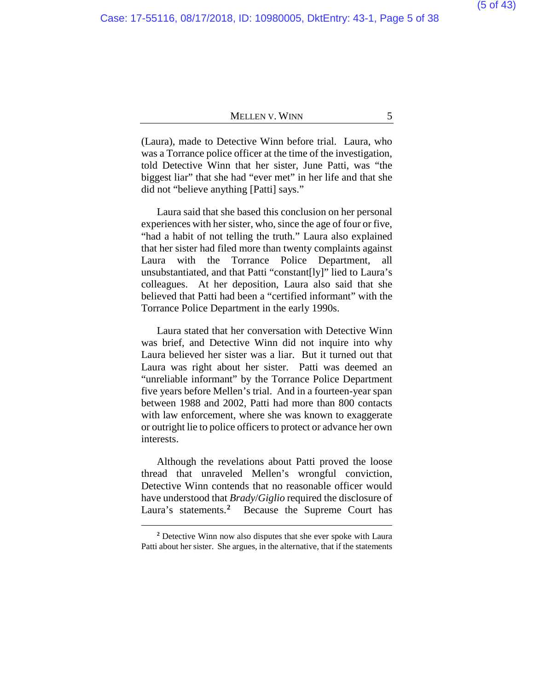(Laura), made to Detective Winn before trial. Laura, who was a Torrance police officer at the time of the investigation, told Detective Winn that her sister, June Patti, was "the biggest liar" that she had "ever met" in her life and that she did not "believe anything [Patti] says."

Laura said that she based this conclusion on her personal experiences with her sister, who, since the age of four or five, "had a habit of not telling the truth." Laura also explained that her sister had filed more than twenty complaints against Laura with the Torrance Police Department, all unsubstantiated, and that Patti "constant[ly]" lied to Laura's colleagues. At her deposition, Laura also said that she believed that Patti had been a "certified informant" with the Torrance Police Department in the early 1990s.

Laura stated that her conversation with Detective Winn was brief, and Detective Winn did not inquire into why Laura believed her sister was a liar. But it turned out that Laura was right about her sister. Patti was deemed an "unreliable informant" by the Torrance Police Department five years before Mellen's trial. And in a fourteen-year span between 1988 and 2002, Patti had more than 800 contacts with law enforcement, where she was known to exaggerate or outright lie to police officers to protect or advance her own interests.

Although the revelations about Patti proved the loose thread that unraveled Mellen's wrongful conviction, Detective Winn contends that no reasonable officer would have understood that *Brady*/*Giglio* required the disclosure of Laura's statements.**[2](#page-4-0)** Because the Supreme Court has

<span id="page-4-0"></span>**<sup>2</sup>** Detective Winn now also disputes that she ever spoke with Laura Patti about her sister. She argues, in the alternative, that if the statements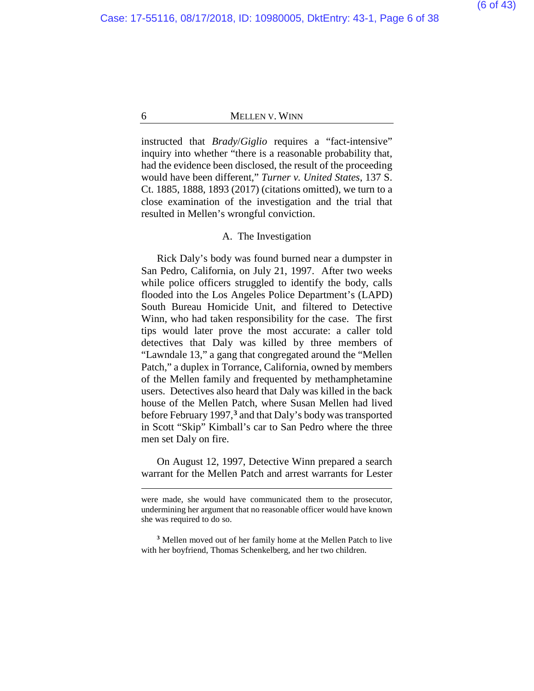instructed that *Brady*/*Giglio* requires a "fact-intensive" inquiry into whether "there is a reasonable probability that, had the evidence been disclosed, the result of the proceeding would have been different," *Turner v. United States*, 137 S. Ct. 1885, 1888, 1893 (2017) (citations omitted), we turn to a close examination of the investigation and the trial that resulted in Mellen's wrongful conviction.

### A. The Investigation

Rick Daly's body was found burned near a dumpster in San Pedro, California, on July 21, 1997. After two weeks while police officers struggled to identify the body, calls flooded into the Los Angeles Police Department's (LAPD) South Bureau Homicide Unit, and filtered to Detective Winn, who had taken responsibility for the case. The first tips would later prove the most accurate: a caller told detectives that Daly was killed by three members of "Lawndale 13," a gang that congregated around the "Mellen Patch," a duplex in Torrance, California, owned by members of the Mellen family and frequented by methamphetamine users. Detectives also heard that Daly was killed in the back house of the Mellen Patch, where Susan Mellen had lived before February 1997,**[3](#page-5-0)** and that Daly's body was transported in Scott "Skip" Kimball's car to San Pedro where the three men set Daly on fire.

On August 12, 1997, Detective Winn prepared a search warrant for the Mellen Patch and arrest warrants for Lester

were made, she would have communicated them to the prosecutor, undermining her argument that no reasonable officer would have known she was required to do so.

<span id="page-5-0"></span>**<sup>3</sup>** Mellen moved out of her family home at the Mellen Patch to live with her boyfriend, Thomas Schenkelberg, and her two children.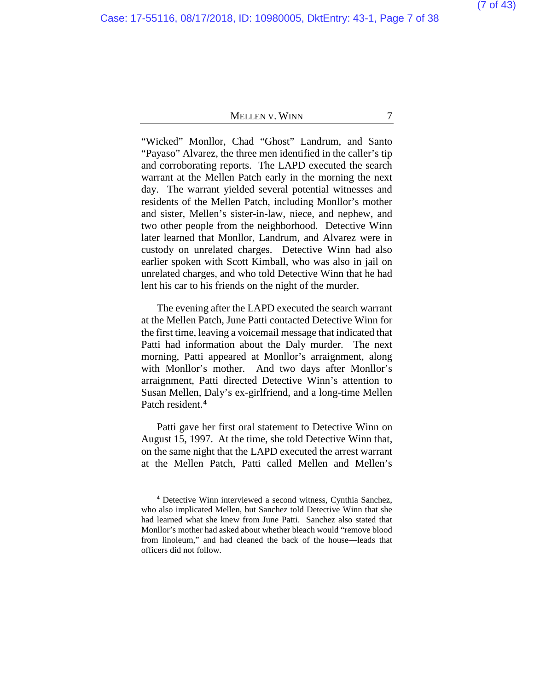# (7 of 43)

### MELLEN V. WINN 7

"Wicked" Monllor, Chad "Ghost" Landrum, and Santo "Payaso" Alvarez, the three men identified in the caller's tip and corroborating reports. The LAPD executed the search warrant at the Mellen Patch early in the morning the next day. The warrant yielded several potential witnesses and residents of the Mellen Patch, including Monllor's mother and sister, Mellen's sister-in-law, niece, and nephew, and two other people from the neighborhood. Detective Winn later learned that Monllor, Landrum, and Alvarez were in custody on unrelated charges. Detective Winn had also earlier spoken with Scott Kimball, who was also in jail on unrelated charges, and who told Detective Winn that he had lent his car to his friends on the night of the murder.

The evening after the LAPD executed the search warrant at the Mellen Patch, June Patti contacted Detective Winn for the first time, leaving a voicemail message that indicated that Patti had information about the Daly murder. The next morning, Patti appeared at Monllor's arraignment, along with Monllor's mother. And two days after Monllor's arraignment, Patti directed Detective Winn's attention to Susan Mellen, Daly's ex-girlfriend, and a long-time Mellen Patch resident.**[4](#page-6-0)**

Patti gave her first oral statement to Detective Winn on August 15, 1997. At the time, she told Detective Winn that, on the same night that the LAPD executed the arrest warrant at the Mellen Patch, Patti called Mellen and Mellen's

<span id="page-6-0"></span>**<sup>4</sup>** Detective Winn interviewed a second witness, Cynthia Sanchez, who also implicated Mellen, but Sanchez told Detective Winn that she had learned what she knew from June Patti. Sanchez also stated that Monllor's mother had asked about whether bleach would "remove blood from linoleum," and had cleaned the back of the house—leads that officers did not follow.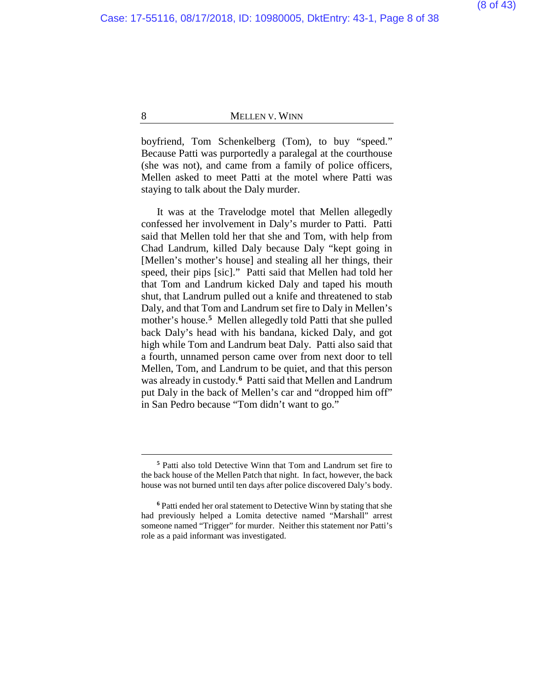boyfriend, Tom Schenkelberg (Tom), to buy "speed." Because Patti was purportedly a paralegal at the courthouse (she was not), and came from a family of police officers, Mellen asked to meet Patti at the motel where Patti was staying to talk about the Daly murder.

It was at the Travelodge motel that Mellen allegedly confessed her involvement in Daly's murder to Patti. Patti said that Mellen told her that she and Tom, with help from Chad Landrum, killed Daly because Daly "kept going in [Mellen's mother's house] and stealing all her things, their speed, their pips [sic]." Patti said that Mellen had told her that Tom and Landrum kicked Daly and taped his mouth shut, that Landrum pulled out a knife and threatened to stab Daly, and that Tom and Landrum set fire to Daly in Mellen's mother's house.**[5](#page-7-0)** Mellen allegedly told Patti that she pulled back Daly's head with his bandana, kicked Daly, and got high while Tom and Landrum beat Daly. Patti also said that a fourth, unnamed person came over from next door to tell Mellen, Tom, and Landrum to be quiet, and that this person was already in custody.**[6](#page-7-1)** Patti said that Mellen and Landrum put Daly in the back of Mellen's car and "dropped him off" in San Pedro because "Tom didn't want to go."

**<sup>5</sup>** Patti also told Detective Winn that Tom and Landrum set fire to the back house of the Mellen Patch that night. In fact, however, the back house was not burned until ten days after police discovered Daly's body.

<span id="page-7-1"></span><span id="page-7-0"></span>**<sup>6</sup>** Patti ended her oral statement to Detective Winn by stating that she had previously helped a Lomita detective named "Marshall" arrest someone named "Trigger" for murder. Neither this statement nor Patti's role as a paid informant was investigated.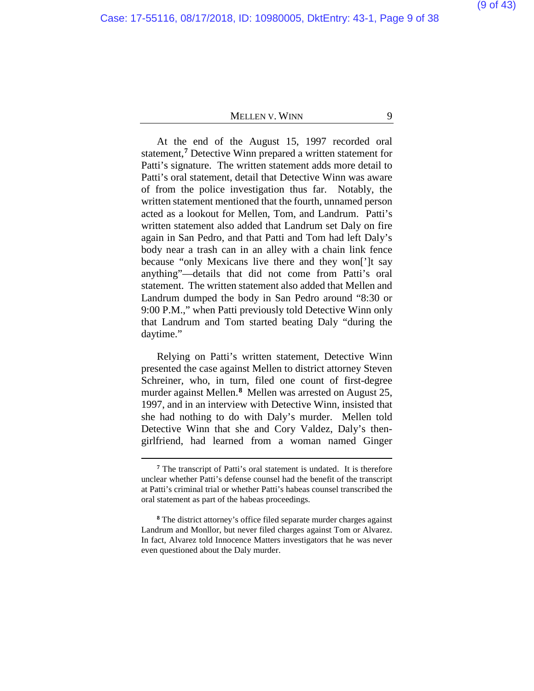At the end of the August 15, 1997 recorded oral statement,**[7](#page-8-0)** Detective Winn prepared a written statement for Patti's signature. The written statement adds more detail to Patti's oral statement, detail that Detective Winn was aware of from the police investigation thus far. Notably, the written statement mentioned that the fourth, unnamed person acted as a lookout for Mellen, Tom, and Landrum. Patti's written statement also added that Landrum set Daly on fire again in San Pedro, and that Patti and Tom had left Daly's body near a trash can in an alley with a chain link fence because "only Mexicans live there and they won[']t say anything"—details that did not come from Patti's oral statement. The written statement also added that Mellen and Landrum dumped the body in San Pedro around "8:30 or 9:00 P.M.," when Patti previously told Detective Winn only that Landrum and Tom started beating Daly "during the daytime."

Relying on Patti's written statement, Detective Winn presented the case against Mellen to district attorney Steven Schreiner, who, in turn, filed one count of first-degree murder against Mellen.**[8](#page-8-1)** Mellen was arrested on August 25, 1997, and in an interview with Detective Winn, insisted that she had nothing to do with Daly's murder. Mellen told Detective Winn that she and Cory Valdez, Daly's thengirlfriend, had learned from a woman named Ginger

**<sup>7</sup>** The transcript of Patti's oral statement is undated. It is therefore unclear whether Patti's defense counsel had the benefit of the transcript at Patti's criminal trial or whether Patti's habeas counsel transcribed the oral statement as part of the habeas proceedings.

<span id="page-8-1"></span><span id="page-8-0"></span>**<sup>8</sup>** The district attorney's office filed separate murder charges against Landrum and Monllor, but never filed charges against Tom or Alvarez. In fact, Alvarez told Innocence Matters investigators that he was never even questioned about the Daly murder.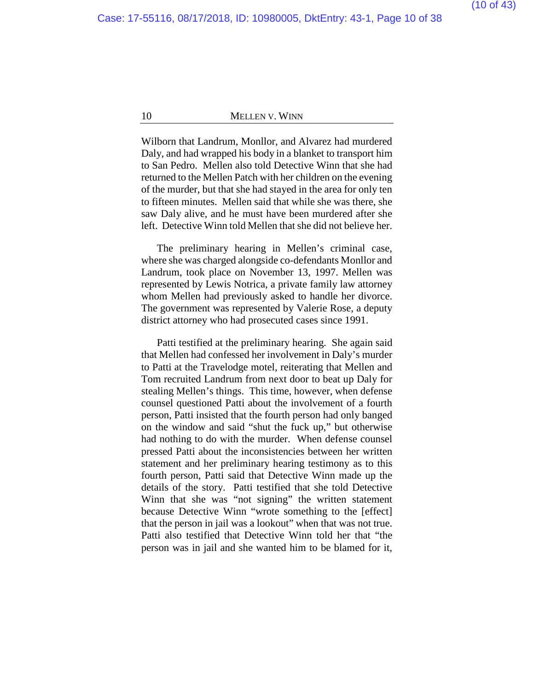Wilborn that Landrum, Monllor, and Alvarez had murdered Daly, and had wrapped his body in a blanket to transport him to San Pedro. Mellen also told Detective Winn that she had returned to the Mellen Patch with her children on the evening of the murder, but that she had stayed in the area for only ten to fifteen minutes. Mellen said that while she was there, she saw Daly alive, and he must have been murdered after she left. Detective Winn told Mellen that she did not believe her.

The preliminary hearing in Mellen's criminal case, where she was charged alongside co-defendants Monllor and Landrum, took place on November 13, 1997. Mellen was represented by Lewis Notrica, a private family law attorney whom Mellen had previously asked to handle her divorce. The government was represented by Valerie Rose, a deputy district attorney who had prosecuted cases since 1991.

Patti testified at the preliminary hearing. She again said that Mellen had confessed her involvement in Daly's murder to Patti at the Travelodge motel, reiterating that Mellen and Tom recruited Landrum from next door to beat up Daly for stealing Mellen's things. This time, however, when defense counsel questioned Patti about the involvement of a fourth person, Patti insisted that the fourth person had only banged on the window and said "shut the fuck up," but otherwise had nothing to do with the murder. When defense counsel pressed Patti about the inconsistencies between her written statement and her preliminary hearing testimony as to this fourth person, Patti said that Detective Winn made up the details of the story. Patti testified that she told Detective Winn that she was "not signing" the written statement because Detective Winn "wrote something to the [effect] that the person in jail was a lookout" when that was not true. Patti also testified that Detective Winn told her that "the person was in jail and she wanted him to be blamed for it,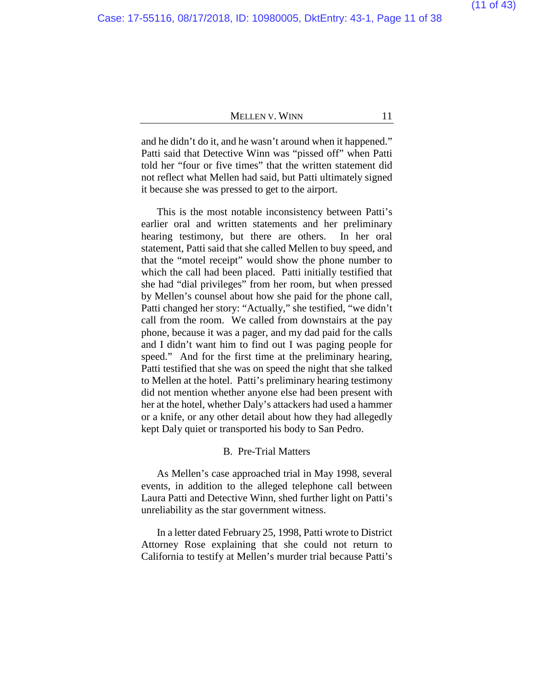# (11 of 43)

### MELLEN V. WINN 11

and he didn't do it, and he wasn't around when it happened." Patti said that Detective Winn was "pissed off" when Patti told her "four or five times" that the written statement did not reflect what Mellen had said, but Patti ultimately signed it because she was pressed to get to the airport.

This is the most notable inconsistency between Patti's earlier oral and written statements and her preliminary hearing testimony, but there are others. In her oral statement, Patti said that she called Mellen to buy speed, and that the "motel receipt" would show the phone number to which the call had been placed. Patti initially testified that she had "dial privileges" from her room, but when pressed by Mellen's counsel about how she paid for the phone call, Patti changed her story: "Actually," she testified, "we didn't call from the room. We called from downstairs at the pay phone, because it was a pager, and my dad paid for the calls and I didn't want him to find out I was paging people for speed." And for the first time at the preliminary hearing, Patti testified that she was on speed the night that she talked to Mellen at the hotel.Patti's preliminary hearing testimony did not mention whether anyone else had been present with her at the hotel, whether Daly's attackers had used a hammer or a knife, or any other detail about how they had allegedly kept Daly quiet or transported his body to San Pedro.

# B. Pre-Trial Matters

As Mellen's case approached trial in May 1998, several events, in addition to the alleged telephone call between Laura Patti and Detective Winn, shed further light on Patti's unreliability as the star government witness.

In a letter dated February 25, 1998, Patti wrote to District Attorney Rose explaining that she could not return to California to testify at Mellen's murder trial because Patti's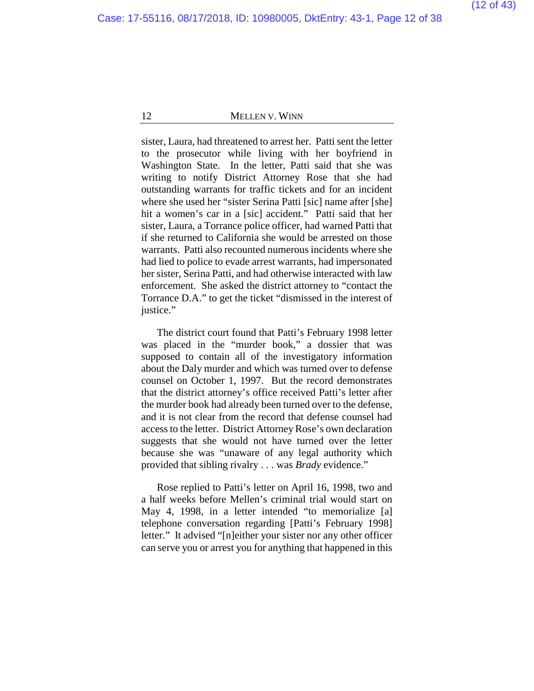sister, Laura, had threatened to arrest her. Patti sent the letter to the prosecutor while living with her boyfriend in Washington State. In the letter, Patti said that she was writing to notify District Attorney Rose that she had outstanding warrants for traffic tickets and for an incident where she used her "sister Serina Patti [sic] name after [she] hit a women's car in a [sic] accident." Patti said that her sister, Laura, a Torrance police officer, had warned Patti that if she returned to California she would be arrested on those warrants. Patti also recounted numerous incidents where she had lied to police to evade arrest warrants, had impersonated her sister, Serina Patti, and had otherwise interacted with law enforcement. She asked the district attorney to "contact the Torrance D.A." to get the ticket "dismissed in the interest of justice."

The district court found that Patti's February 1998 letter was placed in the "murder book," a dossier that was supposed to contain all of the investigatory information about the Daly murder and which was turned over to defense counsel on October 1, 1997. But the record demonstrates that the district attorney's office received Patti's letter after the murder book had already been turned over to the defense, and it is not clear from the record that defense counsel had access to the letter. District Attorney Rose's own declaration suggests that she would not have turned over the letter because she was "unaware of any legal authority which provided that sibling rivalry . . . was *Brady* evidence."

Rose replied to Patti's letter on April 16, 1998, two and a half weeks before Mellen's criminal trial would start on May 4, 1998, in a letter intended "to memorialize [a] telephone conversation regarding [Patti's February 1998] letter." It advised "[n]either your sister nor any other officer can serve you or arrest you for anything that happened in this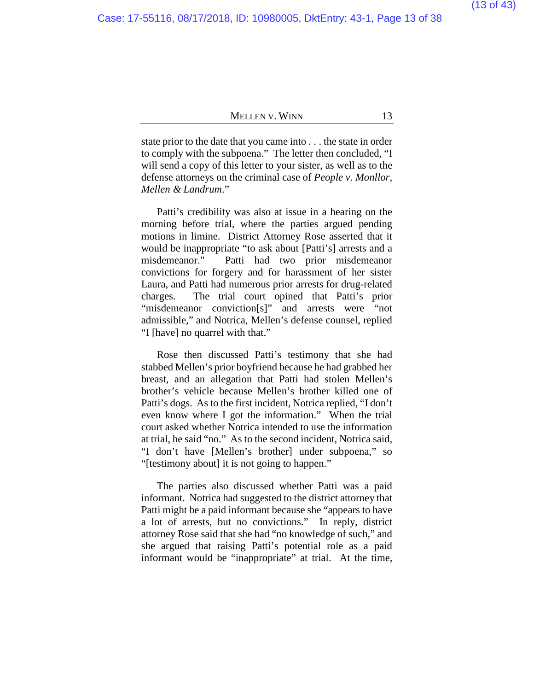state prior to the date that you came into . . . the state in order to comply with the subpoena." The letter then concluded, "I will send a copy of this letter to your sister, as well as to the defense attorneys on the criminal case of *People v. Monllor, Mellen & Landrum*."

Patti's credibility was also at issue in a hearing on the morning before trial, where the parties argued pending motions in limine. District Attorney Rose asserted that it would be inappropriate "to ask about [Patti's] arrests and a misdemeanor." Patti had two prior misdemeanor convictions for forgery and for harassment of her sister Laura, and Patti had numerous prior arrests for drug-related charges. The trial court opined that Patti's prior "misdemeanor conviction[s]" and arrests were "not admissible," and Notrica, Mellen's defense counsel, replied "I [have] no quarrel with that."

Rose then discussed Patti's testimony that she had stabbed Mellen's prior boyfriend because he had grabbed her breast, and an allegation that Patti had stolen Mellen's brother's vehicle because Mellen's brother killed one of Patti's dogs. As to the first incident, Notrica replied, "I don't even know where I got the information." When the trial court asked whether Notrica intended to use the information at trial, he said "no." As to the second incident, Notrica said, "I don't have [Mellen's brother] under subpoena," so "[testimony about] it is not going to happen."

The parties also discussed whether Patti was a paid informant. Notrica had suggested to the district attorney that Patti might be a paid informant because she "appears to have a lot of arrests, but no convictions." In reply, district attorney Rose said that she had "no knowledge of such," and she argued that raising Patti's potential role as a paid informant would be "inappropriate" at trial. At the time,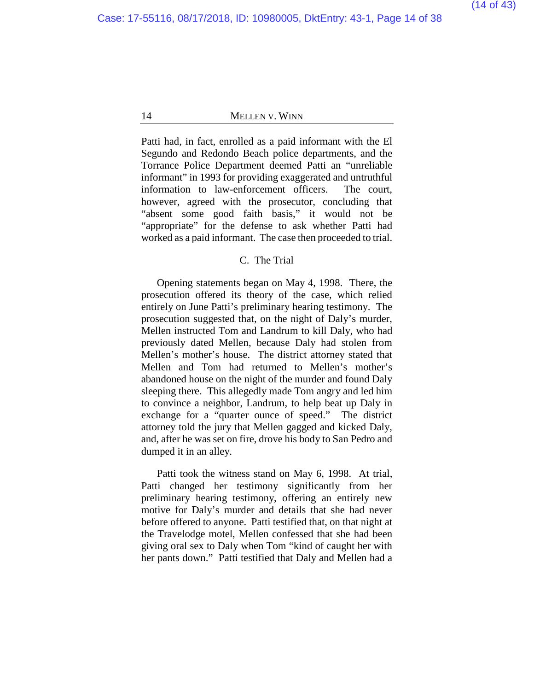Patti had, in fact, enrolled as a paid informant with the El Segundo and Redondo Beach police departments, and the Torrance Police Department deemed Patti an "unreliable informant" in 1993 for providing exaggerated and untruthful information to law-enforcement officers. The court, however, agreed with the prosecutor, concluding that "absent some good faith basis," it would not be "appropriate" for the defense to ask whether Patti had worked as a paid informant. The case then proceeded to trial.

#### C. The Trial

Opening statements began on May 4, 1998. There, the prosecution offered its theory of the case, which relied entirely on June Patti's preliminary hearing testimony. The prosecution suggested that, on the night of Daly's murder, Mellen instructed Tom and Landrum to kill Daly, who had previously dated Mellen, because Daly had stolen from Mellen's mother's house. The district attorney stated that Mellen and Tom had returned to Mellen's mother's abandoned house on the night of the murder and found Daly sleeping there. This allegedly made Tom angry and led him to convince a neighbor, Landrum, to help beat up Daly in exchange for a "quarter ounce of speed." The district attorney told the jury that Mellen gagged and kicked Daly, and, after he was set on fire, drove his body to San Pedro and dumped it in an alley.

Patti took the witness stand on May 6, 1998. At trial, Patti changed her testimony significantly from her preliminary hearing testimony, offering an entirely new motive for Daly's murder and details that she had never before offered to anyone. Patti testified that, on that night at the Travelodge motel, Mellen confessed that she had been giving oral sex to Daly when Tom "kind of caught her with her pants down." Patti testified that Daly and Mellen had a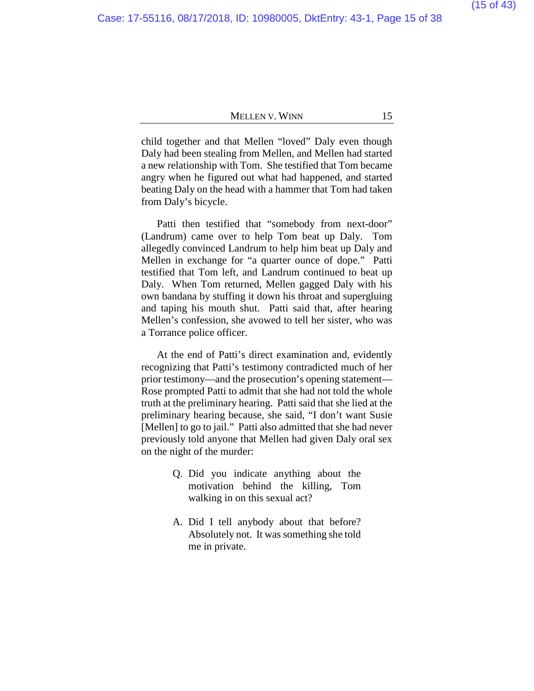child together and that Mellen "loved" Daly even though Daly had been stealing from Mellen, and Mellen had started a new relationship with Tom. She testified that Tom became angry when he figured out what had happened, and started beating Daly on the head with a hammer that Tom had taken from Daly's bicycle.

Patti then testified that "somebody from next-door" (Landrum) came over to help Tom beat up Daly. Tom allegedly convinced Landrum to help him beat up Daly and Mellen in exchange for "a quarter ounce of dope." Patti testified that Tom left, and Landrum continued to beat up Daly. When Tom returned, Mellen gagged Daly with his own bandana by stuffing it down his throat and supergluing and taping his mouth shut. Patti said that, after hearing Mellen's confession, she avowed to tell her sister, who was a Torrance police officer.

At the end of Patti's direct examination and, evidently recognizing that Patti's testimony contradicted much of her prior testimony—and the prosecution's opening statement— Rose prompted Patti to admit that she had not told the whole truth at the preliminary hearing. Patti said that she lied at the preliminary hearing because, she said, "I don't want Susie [Mellen] to go to jail." Patti also admitted that she had never previously told anyone that Mellen had given Daly oral sex on the night of the murder:

- Q. Did you indicate anything about the motivation behind the killing, Tom walking in on this sexual act?
- A. Did I tell anybody about that before? Absolutely not. It was something she told me in private.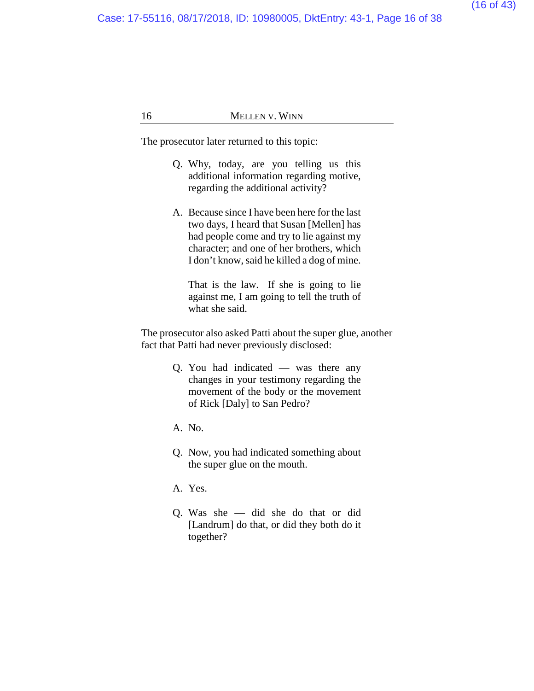Case: 17-55116, 08/17/2018, ID: 10980005, DktEntry: 43-1, Page 16 of 38

### 16 MELLEN V. WINN

The prosecutor later returned to this topic:

- Q. Why, today, are you telling us this additional information regarding motive, regarding the additional activity?
- A. Because since I have been here for the last two days, I heard that Susan [Mellen] has had people come and try to lie against my character; and one of her brothers, which I don't know, said he killed a dog of mine.

That is the law. If she is going to lie against me, I am going to tell the truth of what she said.

The prosecutor also asked Patti about the super glue, another fact that Patti had never previously disclosed:

- Q. You had indicated was there any changes in your testimony regarding the movement of the body or the movement of Rick [Daly] to San Pedro?
- A. No.
- Q. Now, you had indicated something about the super glue on the mouth.
- A. Yes.
- Q. Was she did she do that or did [Landrum] do that, or did they both do it together?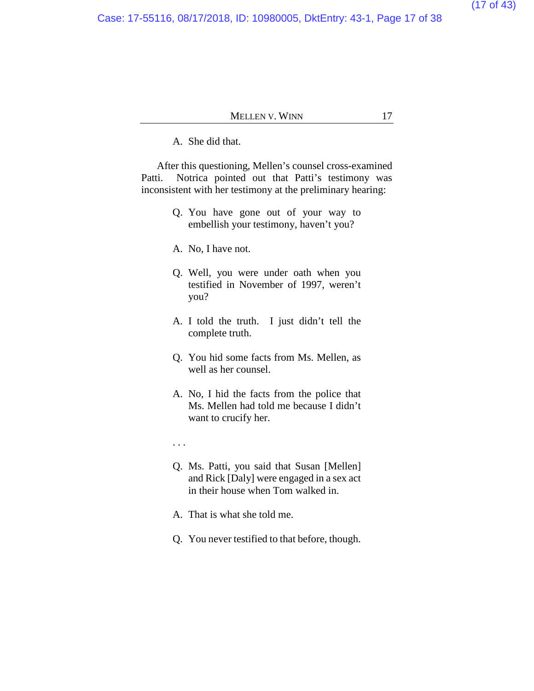Case: 17-55116, 08/17/2018, ID: 10980005, DktEntry: 43-1, Page 17 of 38

# MELLEN V. WINN 17

A. She did that.

After this questioning, Mellen's counsel cross-examined Patti. Notrica pointed out that Patti's testimony was inconsistent with her testimony at the preliminary hearing:

- Q. You have gone out of your way to embellish your testimony, haven't you?
- A. No, I have not.
- Q. Well, you were under oath when you testified in November of 1997, weren't you?
- A. I told the truth. I just didn't tell the complete truth.
- Q. You hid some facts from Ms. Mellen, as well as her counsel.
- A. No, I hid the facts from the police that Ms. Mellen had told me because I didn't want to crucify her.
- . . .
- Q. Ms. Patti, you said that Susan [Mellen] and Rick [Daly] were engaged in a sex act in their house when Tom walked in.
- A. That is what she told me.
- Q. You never testified to that before, though.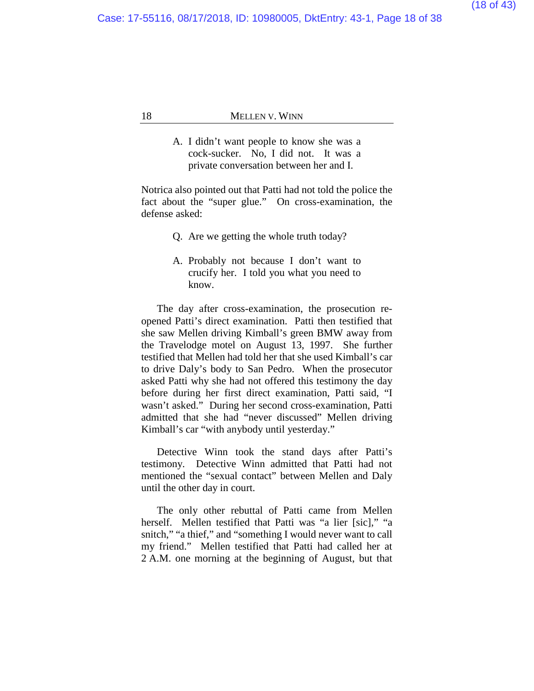A. I didn't want people to know she was a cock-sucker. No, I did not. It was a private conversation between her and I.

Notrica also pointed out that Patti had not told the police the fact about the "super glue." On cross-examination, the defense asked:

- Q. Are we getting the whole truth today?
- A. Probably not because I don't want to crucify her. I told you what you need to know.

The day after cross-examination, the prosecution reopened Patti's direct examination. Patti then testified that she saw Mellen driving Kimball's green BMW away from the Travelodge motel on August 13, 1997. She further testified that Mellen had told her that she used Kimball's car to drive Daly's body to San Pedro. When the prosecutor asked Patti why she had not offered this testimony the day before during her first direct examination, Patti said, "I wasn't asked." During her second cross-examination, Patti admitted that she had "never discussed" Mellen driving Kimball's car "with anybody until yesterday."

Detective Winn took the stand days after Patti's testimony. Detective Winn admitted that Patti had not mentioned the "sexual contact" between Mellen and Daly until the other day in court.

The only other rebuttal of Patti came from Mellen herself. Mellen testified that Patti was "a lier [sic]," "a snitch," "a thief," and "something I would never want to call my friend." Mellen testified that Patti had called her at 2 A.M. one morning at the beginning of August, but that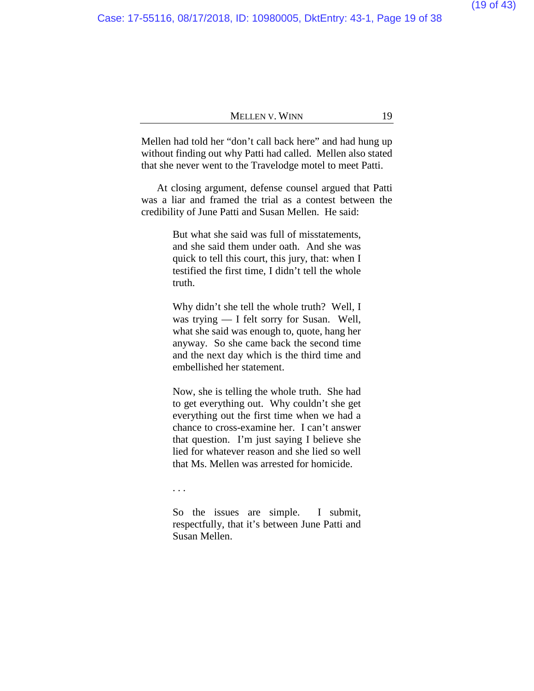Mellen had told her "don't call back here" and had hung up without finding out why Patti had called. Mellen also stated that she never went to the Travelodge motel to meet Patti.

At closing argument, defense counsel argued that Patti was a liar and framed the trial as a contest between the credibility of June Patti and Susan Mellen. He said:

> But what she said was full of misstatements, and she said them under oath. And she was quick to tell this court, this jury, that: when I testified the first time, I didn't tell the whole truth.

> Why didn't she tell the whole truth? Well, I was trying — I felt sorry for Susan. Well, what she said was enough to, quote, hang her anyway. So she came back the second time and the next day which is the third time and embellished her statement.

> Now, she is telling the whole truth. She had to get everything out. Why couldn't she get everything out the first time when we had a chance to cross-examine her. I can't answer that question. I'm just saying I believe she lied for whatever reason and she lied so well that Ms. Mellen was arrested for homicide.

. . .

So the issues are simple. I submit, respectfully, that it's between June Patti and Susan Mellen.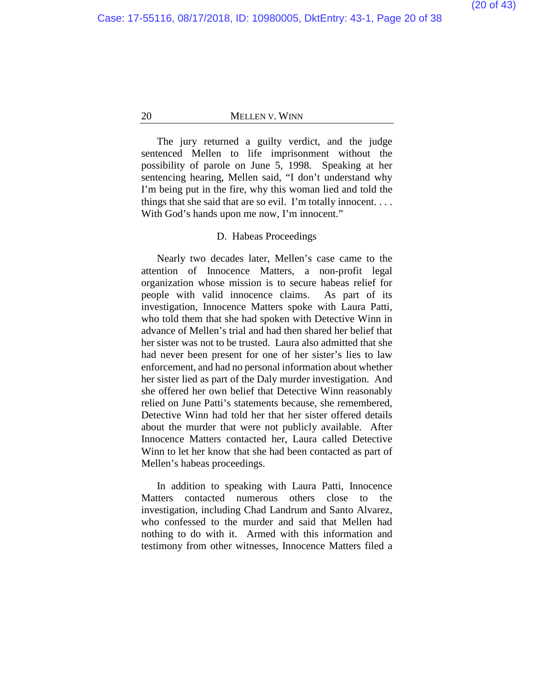The jury returned a guilty verdict, and the judge sentenced Mellen to life imprisonment without the possibility of parole on June 5, 1998. Speaking at her sentencing hearing, Mellen said, "I don't understand why I'm being put in the fire, why this woman lied and told the things that she said that are so evil. I'm totally innocent. . . . With God's hands upon me now, I'm innocent."

# D. Habeas Proceedings

Nearly two decades later, Mellen's case came to the attention of Innocence Matters, a non-profit legal organization whose mission is to secure habeas relief for people with valid innocence claims. As part of its investigation, Innocence Matters spoke with Laura Patti, who told them that she had spoken with Detective Winn in advance of Mellen's trial and had then shared her belief that her sister was not to be trusted. Laura also admitted that she had never been present for one of her sister's lies to law enforcement, and had no personal information about whether her sister lied as part of the Daly murder investigation. And she offered her own belief that Detective Winn reasonably relied on June Patti's statements because, she remembered, Detective Winn had told her that her sister offered details about the murder that were not publicly available. After Innocence Matters contacted her, Laura called Detective Winn to let her know that she had been contacted as part of Mellen's habeas proceedings.

In addition to speaking with Laura Patti, Innocence Matters contacted numerous others close to the investigation, including Chad Landrum and Santo Alvarez, who confessed to the murder and said that Mellen had nothing to do with it. Armed with this information and testimony from other witnesses, Innocence Matters filed a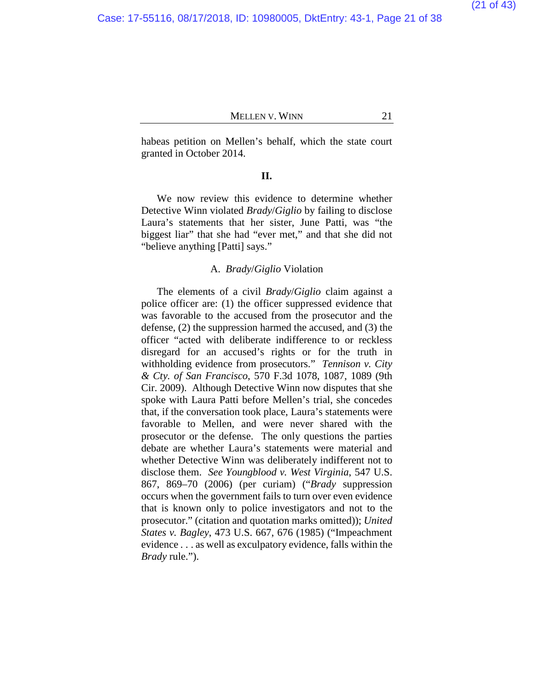habeas petition on Mellen's behalf, which the state court granted in October 2014.

#### **II.**

We now review this evidence to determine whether Detective Winn violated *Brady*/*Giglio* by failing to disclose Laura's statements that her sister, June Patti, was "the biggest liar" that she had "ever met," and that she did not "believe anything [Patti] says."

### A. *Brady*/*Giglio* Violation

The elements of a civil *Brady*/*Giglio* claim against a police officer are: (1) the officer suppressed evidence that was favorable to the accused from the prosecutor and the defense, (2) the suppression harmed the accused, and (3) the officer "acted with deliberate indifference to or reckless disregard for an accused's rights or for the truth in withholding evidence from prosecutors." *Tennison v. City & Cty. of San Francisco*, 570 F.3d 1078, 1087, 1089 (9th Cir. 2009). Although Detective Winn now disputes that she spoke with Laura Patti before Mellen's trial, she concedes that, if the conversation took place, Laura's statements were favorable to Mellen, and were never shared with the prosecutor or the defense. The only questions the parties debate are whether Laura's statements were material and whether Detective Winn was deliberately indifferent not to disclose them. *See Youngblood v. West Virginia*, 547 U.S. 867, 869–70 (2006) (per curiam) ("*Brady* suppression occurs when the government fails to turn over even evidence that is known only to police investigators and not to the prosecutor." (citation and quotation marks omitted)); *United States v. Bagley*, 473 U.S. 667, 676 (1985) ("Impeachment evidence . . . as well as exculpatory evidence, falls within the *Brady* rule.").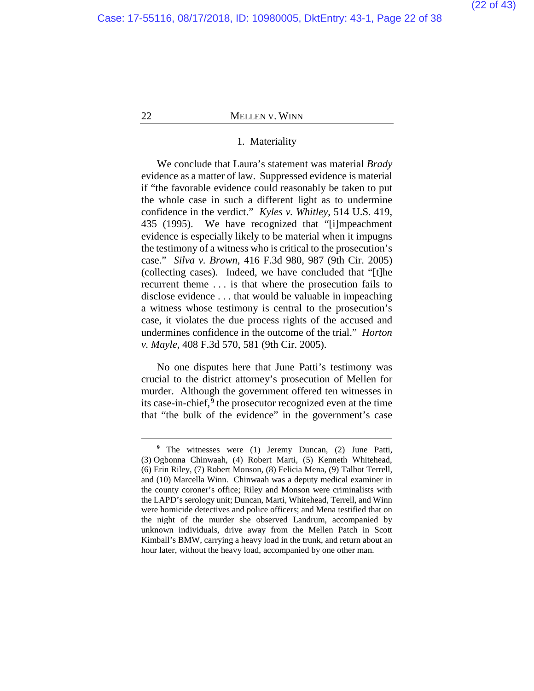$\overline{a}$ 

### 22 **MELLEN V. WINN**

### 1. Materiality

We conclude that Laura's statement was material *Brady*  evidence as a matter of law. Suppressed evidence is material if "the favorable evidence could reasonably be taken to put the whole case in such a different light as to undermine confidence in the verdict." *Kyles v. Whitley*, 514 U.S. 419, 435 (1995). We have recognized that "[i]mpeachment evidence is especially likely to be material when it impugns the testimony of a witness who is critical to the prosecution's case." *Silva v. Brown*, 416 F.3d 980, 987 (9th Cir. 2005) (collecting cases). Indeed, we have concluded that "[t]he recurrent theme . . . is that where the prosecution fails to disclose evidence . . . that would be valuable in impeaching a witness whose testimony is central to the prosecution's case, it violates the due process rights of the accused and undermines confidence in the outcome of the trial." *Horton v. Mayle*, 408 F.3d 570, 581 (9th Cir. 2005).

No one disputes here that June Patti's testimony was crucial to the district attorney's prosecution of Mellen for murder. Although the government offered ten witnesses in its case-in-chief,**[9](#page-21-0)** the prosecutor recognized even at the time that "the bulk of the evidence" in the government's case

<span id="page-21-0"></span>**<sup>9</sup>** The witnesses were (1) Jeremy Duncan, (2) June Patti, (3) Ogbonna Chinwaah, (4) Robert Marti, (5) Kenneth Whitehead, (6) Erin Riley, (7) Robert Monson, (8) Felicia Mena, (9) Talbot Terrell, and (10) Marcella Winn. Chinwaah was a deputy medical examiner in the county coroner's office; Riley and Monson were criminalists with the LAPD's serology unit; Duncan, Marti, Whitehead, Terrell, and Winn were homicide detectives and police officers; and Mena testified that on the night of the murder she observed Landrum, accompanied by unknown individuals, drive away from the Mellen Patch in Scott Kimball's BMW, carrying a heavy load in the trunk, and return about an hour later, without the heavy load, accompanied by one other man.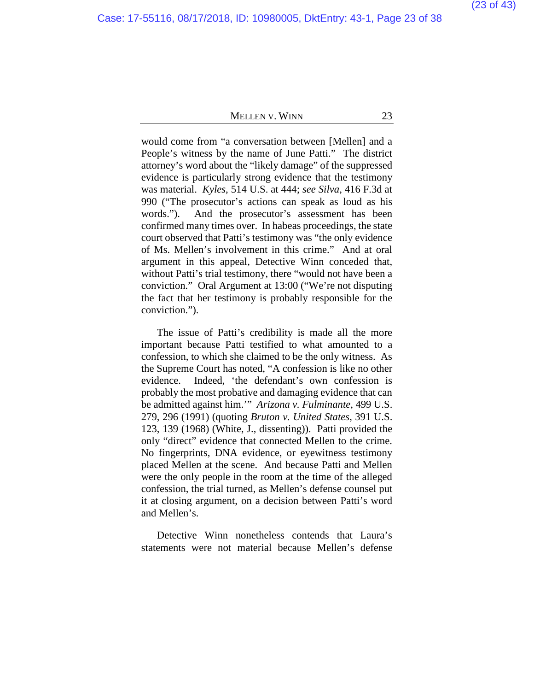would come from "a conversation between [Mellen] and a People's witness by the name of June Patti."The district attorney's word about the "likely damage" of the suppressed evidence is particularly strong evidence that the testimony was material. *Kyles*, 514 U.S. at 444; *see Silva*, 416 F.3d at 990 ("The prosecutor's actions can speak as loud as his words."). And the prosecutor's assessment has been confirmed many times over. In habeas proceedings, the state court observed that Patti's testimony was "the only evidence of Ms. Mellen's involvement in this crime." And at oral argument in this appeal, Detective Winn conceded that, without Patti's trial testimony, there "would not have been a conviction." Oral Argument at 13:00 ("We're not disputing the fact that her testimony is probably responsible for the conviction.").

The issue of Patti's credibility is made all the more important because Patti testified to what amounted to a confession, to which she claimed to be the only witness. As the Supreme Court has noted, "A confession is like no other evidence. Indeed, 'the defendant's own confession is probably the most probative and damaging evidence that can be admitted against him.'" *Arizona v. Fulminante*, 499 U.S. 279, 296 (1991) (quoting *Bruton v. United States*, 391 U.S. 123, 139 (1968) (White, J., dissenting)). Patti provided the only "direct" evidence that connected Mellen to the crime. No fingerprints, DNA evidence, or eyewitness testimony placed Mellen at the scene. And because Patti and Mellen were the only people in the room at the time of the alleged confession, the trial turned, as Mellen's defense counsel put it at closing argument, on a decision between Patti's word and Mellen's.

Detective Winn nonetheless contends that Laura's statements were not material because Mellen's defense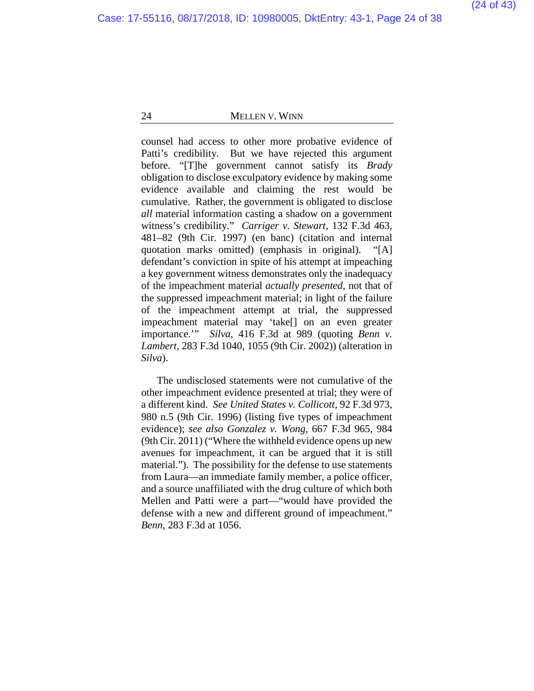counsel had access to other more probative evidence of Patti's credibility. But we have rejected this argument before. "[T]he government cannot satisfy its *Brady*  obligation to disclose exculpatory evidence by making some evidence available and claiming the rest would be cumulative. Rather, the government is obligated to disclose *all* material information casting a shadow on a government witness's credibility." *Carriger v. Stewart*, 132 F.3d 463, 481–82 (9th Cir. 1997) (en banc) (citation and internal quotation marks omitted) (emphasis in original). "[A] defendant's conviction in spite of his attempt at impeaching a key government witness demonstrates only the inadequacy of the impeachment material *actually presented*, not that of the suppressed impeachment material; in light of the failure of the impeachment attempt at trial, the suppressed impeachment material may 'take[] on an even greater importance.'" *Silva*, 416 F.3d at 989 (quoting *Benn v. Lambert*, 283 F.3d 1040, 1055 (9th Cir. 2002)) (alteration in *Silva*).

The undisclosed statements were not cumulative of the other impeachment evidence presented at trial; they were of a different kind. *See United States v. Collicott*, 92 F.3d 973, 980 n.5 (9th Cir. 1996) (listing five types of impeachment evidence); *see also Gonzalez v. Wong*, 667 F.3d 965, 984 (9th Cir. 2011) ("Where the withheld evidence opens up new avenues for impeachment, it can be argued that it is still material."). The possibility for the defense to use statements from Laura—an immediate family member, a police officer, and a source unaffiliated with the drug culture of which both Mellen and Patti were a part—"would have provided the defense with a new and different ground of impeachment." *Benn*, 283 F.3d at 1056.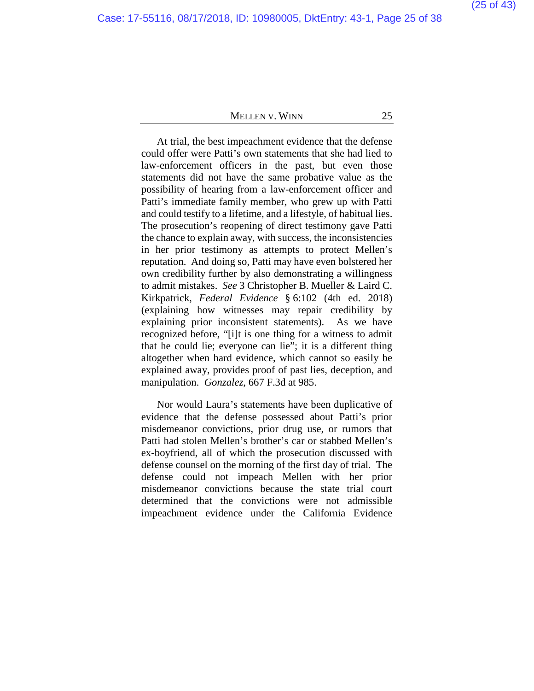At trial, the best impeachment evidence that the defense could offer were Patti's own statements that she had lied to law-enforcement officers in the past, but even those statements did not have the same probative value as the possibility of hearing from a law-enforcement officer and Patti's immediate family member, who grew up with Patti and could testify to a lifetime, and a lifestyle, of habitual lies. The prosecution's reopening of direct testimony gave Patti the chance to explain away, with success, the inconsistencies in her prior testimony as attempts to protect Mellen's reputation. And doing so, Patti may have even bolstered her own credibility further by also demonstrating a willingness to admit mistakes. *See* 3 Christopher B. Mueller & Laird C. Kirkpatrick, *Federal Evidence* § 6:102 (4th ed. 2018) (explaining how witnesses may repair credibility by explaining prior inconsistent statements). As we have recognized before, "[i]t is one thing for a witness to admit that he could lie; everyone can lie"; it is a different thing altogether when hard evidence, which cannot so easily be explained away, provides proof of past lies, deception, and manipulation. *Gonzalez*, 667 F.3d at 985.

Nor would Laura's statements have been duplicative of evidence that the defense possessed about Patti's prior misdemeanor convictions, prior drug use, or rumors that Patti had stolen Mellen's brother's car or stabbed Mellen's ex-boyfriend, all of which the prosecution discussed with defense counsel on the morning of the first day of trial. The defense could not impeach Mellen with her prior misdemeanor convictions because the state trial court determined that the convictions were not admissible impeachment evidence under the California Evidence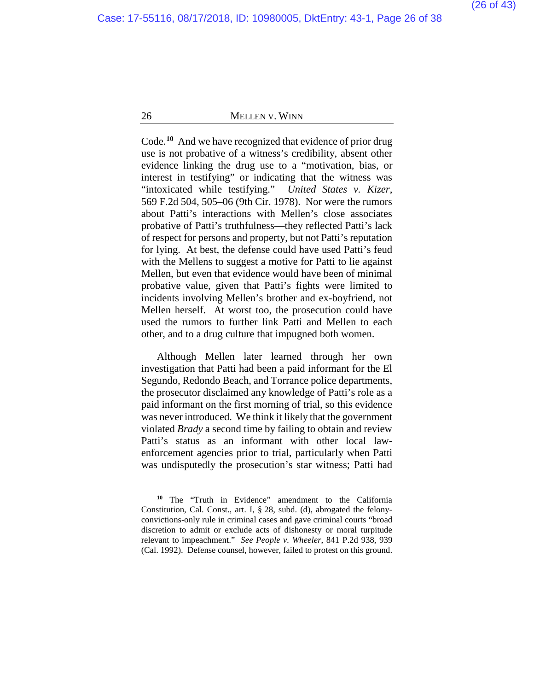Code.**[10](#page-25-0)** And we have recognized that evidence of prior drug use is not probative of a witness's credibility, absent other evidence linking the drug use to a "motivation, bias, or interest in testifying" or indicating that the witness was "intoxicated while testifying." *United States v. Kizer*, 569 F.2d 504, 505–06 (9th Cir. 1978). Nor were the rumors about Patti's interactions with Mellen's close associates probative of Patti's truthfulness—they reflected Patti's lack of respect for persons and property, but not Patti's reputation for lying. At best, the defense could have used Patti's feud with the Mellens to suggest a motive for Patti to lie against Mellen, but even that evidence would have been of minimal probative value, given that Patti's fights were limited to incidents involving Mellen's brother and ex-boyfriend, not Mellen herself. At worst too, the prosecution could have used the rumors to further link Patti and Mellen to each other, and to a drug culture that impugned both women.

Although Mellen later learned through her own investigation that Patti had been a paid informant for the El Segundo, Redondo Beach, and Torrance police departments, the prosecutor disclaimed any knowledge of Patti's role as a paid informant on the first morning of trial, so this evidence was never introduced. We think it likely that the government violated *Brady* a second time by failing to obtain and review Patti's status as an informant with other local lawenforcement agencies prior to trial, particularly when Patti was undisputedly the prosecution's star witness; Patti had

<span id="page-25-0"></span>**<sup>10</sup>** The "Truth in Evidence" amendment to the California Constitution, Cal. Const., art. I, § 28, subd. (d), abrogated the felonyconvictions-only rule in criminal cases and gave criminal courts "broad discretion to admit or exclude acts of dishonesty or moral turpitude relevant to impeachment." *See People v. Wheeler*, 841 P.2d 938, 939 (Cal. 1992). Defense counsel, however, failed to protest on this ground.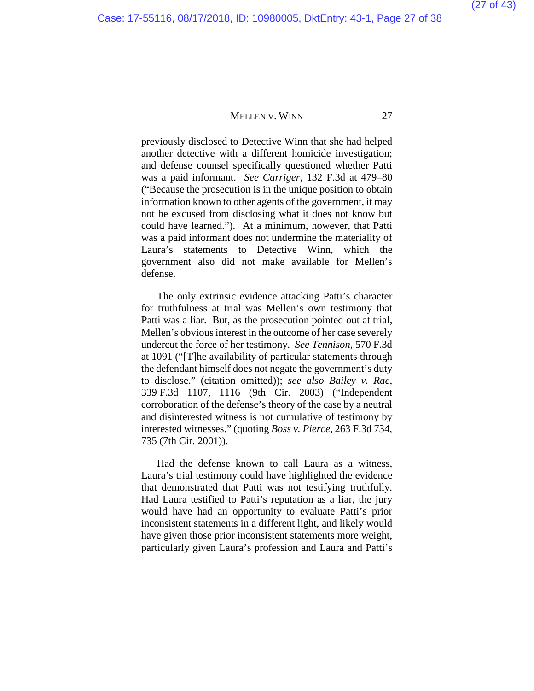previously disclosed to Detective Winn that she had helped another detective with a different homicide investigation; and defense counsel specifically questioned whether Patti was a paid informant. *See Carriger*, 132 F.3d at 479–80 ("Because the prosecution is in the unique position to obtain information known to other agents of the government, it may not be excused from disclosing what it does not know but could have learned."). At a minimum, however, that Patti was a paid informant does not undermine the materiality of Laura's statements to Detective Winn, which the government also did not make available for Mellen's defense.

The only extrinsic evidence attacking Patti's character for truthfulness at trial was Mellen's own testimony that Patti was a liar. But, as the prosecution pointed out at trial, Mellen's obvious interest in the outcome of her case severely undercut the force of her testimony. *See Tennison*, 570 F.3d at 1091 ("[T]he availability of particular statements through the defendant himself does not negate the government's duty to disclose." (citation omitted)); *see also Bailey v. Rae*, 339 F.3d 1107, 1116 (9th Cir. 2003) ("Independent corroboration of the defense's theory of the case by a neutral and disinterested witness is not cumulative of testimony by interested witnesses." (quoting *Boss v. Pierce*, 263 F.3d 734, 735 (7th Cir. 2001)).

Had the defense known to call Laura as a witness, Laura's trial testimony could have highlighted the evidence that demonstrated that Patti was not testifying truthfully. Had Laura testified to Patti's reputation as a liar, the jury would have had an opportunity to evaluate Patti's prior inconsistent statements in a different light, and likely would have given those prior inconsistent statements more weight, particularly given Laura's profession and Laura and Patti's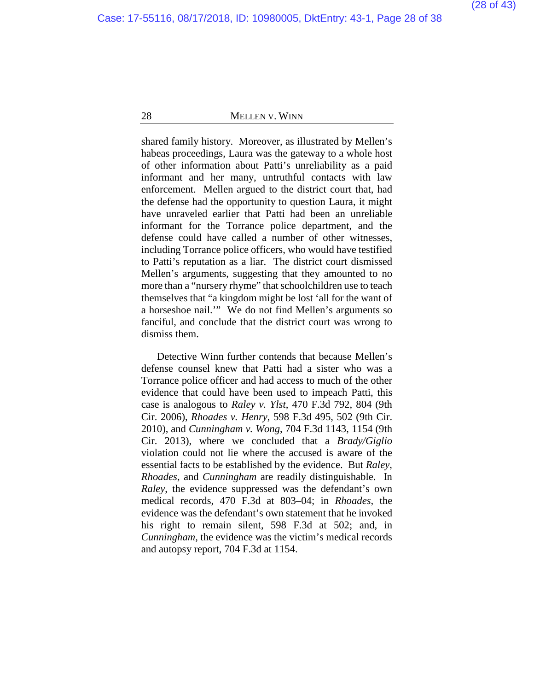shared family history. Moreover, as illustrated by Mellen's habeas proceedings, Laura was the gateway to a whole host of other information about Patti's unreliability as a paid informant and her many, untruthful contacts with law enforcement. Mellen argued to the district court that, had the defense had the opportunity to question Laura, it might have unraveled earlier that Patti had been an unreliable informant for the Torrance police department, and the defense could have called a number of other witnesses, including Torrance police officers, who would have testified to Patti's reputation as a liar. The district court dismissed Mellen's arguments, suggesting that they amounted to no more than a "nursery rhyme" that schoolchildren use to teach themselves that "a kingdom might be lost 'all for the want of a horseshoe nail.'" We do not find Mellen's arguments so fanciful, and conclude that the district court was wrong to dismiss them.

Detective Winn further contends that because Mellen's defense counsel knew that Patti had a sister who was a Torrance police officer and had access to much of the other evidence that could have been used to impeach Patti, this case is analogous to *Raley v. Ylst*, 470 F.3d 792, 804 (9th Cir. 2006), *Rhoades v. Henry*, 598 F.3d 495, 502 (9th Cir. 2010), and *Cunningham v. Wong*, 704 F.3d 1143, 1154 (9th Cir. 2013), where we concluded that a *Brady/Giglio*  violation could not lie where the accused is aware of the essential facts to be established by the evidence. But *Raley*, *Rhoades*, and *Cunningham* are readily distinguishable. In *Raley*, the evidence suppressed was the defendant's own medical records, 470 F.3d at 803–04; in *Rhoades*, the evidence was the defendant's own statement that he invoked his right to remain silent, 598 F.3d at 502; and, in *Cunningham*, the evidence was the victim's medical records and autopsy report, 704 F.3d at 1154.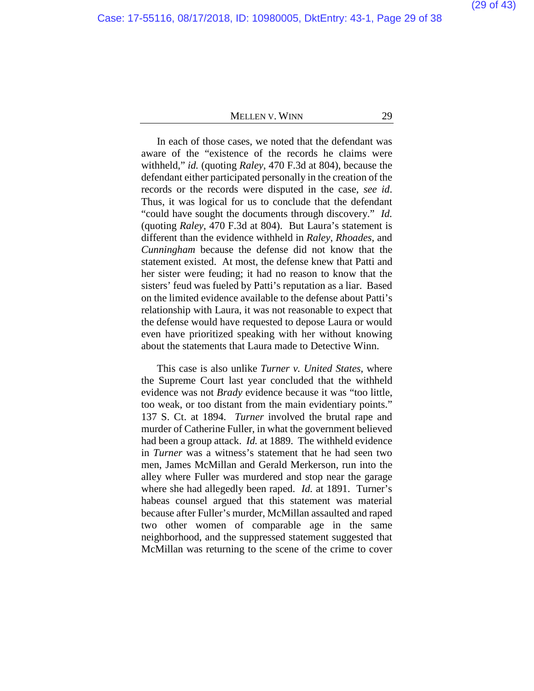In each of those cases, we noted that the defendant was aware of the "existence of the records he claims were withheld," *id.* (quoting *Raley*, 470 F.3d at 804), because the defendant either participated personally in the creation of the records or the records were disputed in the case, *see id*. Thus, it was logical for us to conclude that the defendant "could have sought the documents through discovery." *Id.*  (quoting *Raley*, 470 F.3d at 804). But Laura's statement is different than the evidence withheld in *Raley*, *Rhoades*, and *Cunningham* because the defense did not know that the statement existed. At most, the defense knew that Patti and her sister were feuding; it had no reason to know that the sisters' feud was fueled by Patti's reputation as a liar. Based on the limited evidence available to the defense about Patti's relationship with Laura, it was not reasonable to expect that the defense would have requested to depose Laura or would even have prioritized speaking with her without knowing about the statements that Laura made to Detective Winn.

This case is also unlike *Turner v. United States*, where the Supreme Court last year concluded that the withheld evidence was not *Brady* evidence because it was "too little, too weak, or too distant from the main evidentiary points." 137 S. Ct. at 1894. *Turner* involved the brutal rape and murder of Catherine Fuller, in what the government believed had been a group attack. *Id.* at 1889. The withheld evidence in *Turner* was a witness's statement that he had seen two men, James McMillan and Gerald Merkerson, run into the alley where Fuller was murdered and stop near the garage where she had allegedly been raped. *Id.* at 1891.Turner's habeas counsel argued that this statement was material because after Fuller's murder, McMillan assaulted and raped two other women of comparable age in the same neighborhood, and the suppressed statement suggested that McMillan was returning to the scene of the crime to cover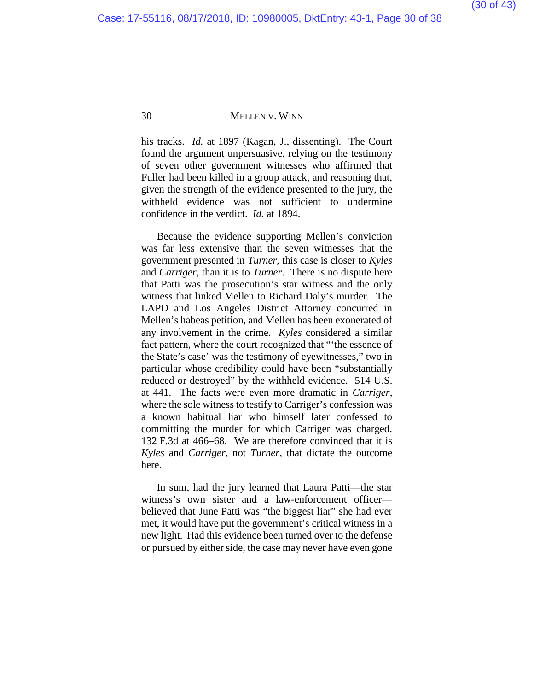his tracks. *Id.* at 1897 (Kagan, J., dissenting). The Court found the argument unpersuasive, relying on the testimony of seven other government witnesses who affirmed that Fuller had been killed in a group attack, and reasoning that, given the strength of the evidence presented to the jury, the withheld evidence was not sufficient to undermine confidence in the verdict. *Id.* at 1894.

Because the evidence supporting Mellen's conviction was far less extensive than the seven witnesses that the government presented in *Turner*, this case is closer to *Kyles* and *Carriger*, than it is to *Turner*. There is no dispute here that Patti was the prosecution's star witness and the only witness that linked Mellen to Richard Daly's murder. The LAPD and Los Angeles District Attorney concurred in Mellen's habeas petition, and Mellen has been exonerated of any involvement in the crime. *Kyles* considered a similar fact pattern, where the court recognized that "'the essence of the State's case' was the testimony of eyewitnesses," two in particular whose credibility could have been "substantially reduced or destroyed" by the withheld evidence. 514 U.S. at 441. The facts were even more dramatic in *Carriger*, where the sole witness to testify to Carriger's confession was a known habitual liar who himself later confessed to committing the murder for which Carriger was charged. 132 F.3d at 466–68. We are therefore convinced that it is *Kyles* and *Carriger*, not *Turner*, that dictate the outcome here.

In sum, had the jury learned that Laura Patti—the star witness's own sister and a law-enforcement officer believed that June Patti was "the biggest liar" she had ever met, it would have put the government's critical witness in a new light. Had this evidence been turned over to the defense or pursued by either side, the case may never have even gone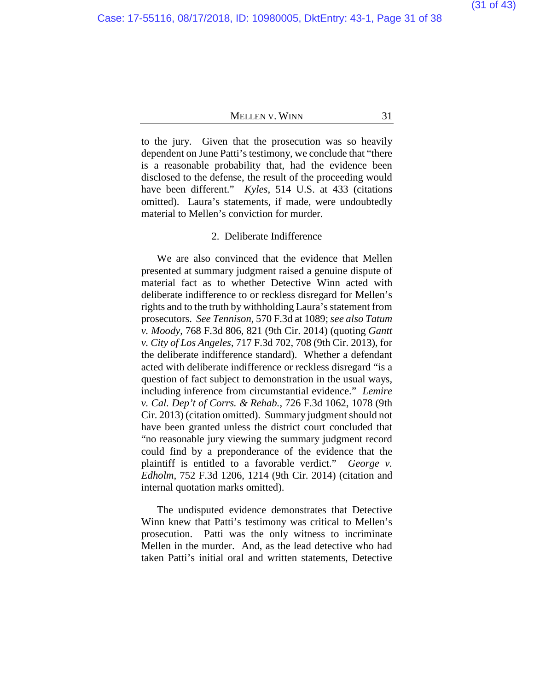to the jury. Given that the prosecution was so heavily dependent on June Patti's testimony, we conclude that "there is a reasonable probability that, had the evidence been disclosed to the defense, the result of the proceeding would have been different." *Kyles*, 514 U.S. at 433 (citations omitted). Laura's statements, if made, were undoubtedly material to Mellen's conviction for murder.

# 2. Deliberate Indifference

We are also convinced that the evidence that Mellen presented at summary judgment raised a genuine dispute of material fact as to whether Detective Winn acted with deliberate indifference to or reckless disregard for Mellen's rights and to the truth by withholding Laura's statement from prosecutors. *See Tennison*, 570 F.3d at 1089; *see also Tatum v. Moody*, 768 F.3d 806, 821 (9th Cir. 2014) (quoting *Gantt v. City of Los Angeles*, 717 F.3d 702, 708 (9th Cir. 2013), for the deliberate indifference standard). Whether a defendant acted with deliberate indifference or reckless disregard "is a question of fact subject to demonstration in the usual ways, including inference from circumstantial evidence." *Lemire v. Cal. Dep't of Corrs. & Rehab.*, 726 F.3d 1062, 1078 (9th Cir. 2013) (citation omitted). Summary judgment should not have been granted unless the district court concluded that "no reasonable jury viewing the summary judgment record could find by a preponderance of the evidence that the plaintiff is entitled to a favorable verdict." *George v. Edholm*, 752 F.3d 1206, 1214 (9th Cir. 2014) (citation and internal quotation marks omitted).

The undisputed evidence demonstrates that Detective Winn knew that Patti's testimony was critical to Mellen's prosecution. Patti was the only witness to incriminate Mellen in the murder. And, as the lead detective who had taken Patti's initial oral and written statements, Detective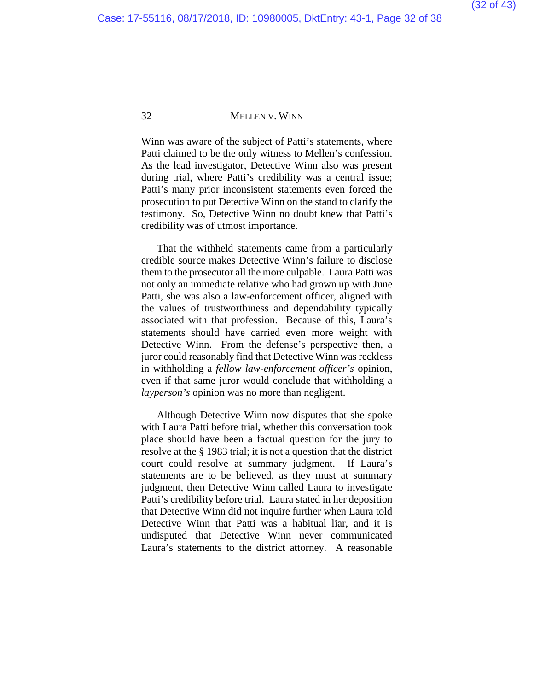Winn was aware of the subject of Patti's statements, where Patti claimed to be the only witness to Mellen's confession. As the lead investigator, Detective Winn also was present during trial, where Patti's credibility was a central issue; Patti's many prior inconsistent statements even forced the prosecution to put Detective Winn on the stand to clarify the testimony. So, Detective Winn no doubt knew that Patti's credibility was of utmost importance.

That the withheld statements came from a particularly credible source makes Detective Winn's failure to disclose them to the prosecutor all the more culpable. Laura Patti was not only an immediate relative who had grown up with June Patti, she was also a law-enforcement officer, aligned with the values of trustworthiness and dependability typically associated with that profession. Because of this, Laura's statements should have carried even more weight with Detective Winn. From the defense's perspective then, a juror could reasonably find that Detective Winn was reckless in withholding a *fellow law-enforcement officer's* opinion, even if that same juror would conclude that withholding a *layperson's* opinion was no more than negligent.

Although Detective Winn now disputes that she spoke with Laura Patti before trial, whether this conversation took place should have been a factual question for the jury to resolve at the § 1983 trial; it is not a question that the district court could resolve at summary judgment. If Laura's statements are to be believed, as they must at summary judgment, then Detective Winn called Laura to investigate Patti's credibility before trial. Laura stated in her deposition that Detective Winn did not inquire further when Laura told Detective Winn that Patti was a habitual liar, and it is undisputed that Detective Winn never communicated Laura's statements to the district attorney. A reasonable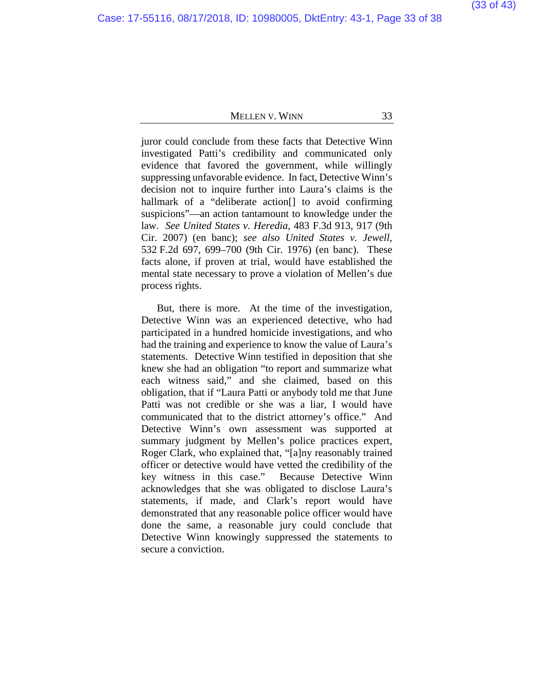juror could conclude from these facts that Detective Winn investigated Patti's credibility and communicated only evidence that favored the government, while willingly suppressing unfavorable evidence. In fact, Detective Winn's decision not to inquire further into Laura's claims is the hallmark of a "deliberate action<sup>[]</sup> to avoid confirming suspicions"—an action tantamount to knowledge under the law. *See United States v. Heredia*, 483 F.3d 913, 917 (9th Cir. 2007) (en banc); *see also United States v. Jewell*, 532 F.2d 697, 699–700 (9th Cir. 1976) (en banc). These facts alone, if proven at trial, would have established the mental state necessary to prove a violation of Mellen's due process rights.

But, there is more. At the time of the investigation, Detective Winn was an experienced detective, who had participated in a hundred homicide investigations, and who had the training and experience to know the value of Laura's statements. Detective Winn testified in deposition that she knew she had an obligation "to report and summarize what each witness said," and she claimed, based on this obligation, that if "Laura Patti or anybody told me that June Patti was not credible or she was a liar, I would have communicated that to the district attorney's office." And Detective Winn's own assessment was supported at summary judgment by Mellen's police practices expert, Roger Clark, who explained that, "[a]ny reasonably trained officer or detective would have vetted the credibility of the key witness in this case." Because Detective Winn acknowledges that she was obligated to disclose Laura's statements, if made, and Clark's report would have demonstrated that any reasonable police officer would have done the same, a reasonable jury could conclude that Detective Winn knowingly suppressed the statements to secure a conviction.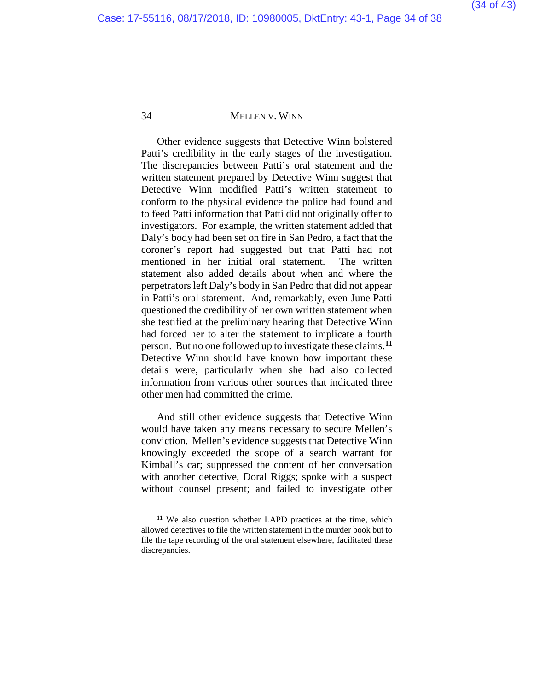Other evidence suggests that Detective Winn bolstered Patti's credibility in the early stages of the investigation. The discrepancies between Patti's oral statement and the written statement prepared by Detective Winn suggest that Detective Winn modified Patti's written statement to conform to the physical evidence the police had found and to feed Patti information that Patti did not originally offer to investigators. For example, the written statement added that Daly's body had been set on fire in San Pedro, a fact that the coroner's report had suggested but that Patti had not mentioned in her initial oral statement. The written statement also added details about when and where the perpetrators left Daly's body in San Pedro that did not appear in Patti's oral statement. And, remarkably, even June Patti questioned the credibility of her own written statement when she testified at the preliminary hearing that Detective Winn had forced her to alter the statement to implicate a fourth person. But no one followed up to investigate these claims.**[11](#page-33-0)** Detective Winn should have known how important these details were, particularly when she had also collected information from various other sources that indicated three other men had committed the crime.

And still other evidence suggests that Detective Winn would have taken any means necessary to secure Mellen's conviction. Mellen's evidence suggests that Detective Winn knowingly exceeded the scope of a search warrant for Kimball's car; suppressed the content of her conversation with another detective, Doral Riggs; spoke with a suspect without counsel present; and failed to investigate other

<span id="page-33-0"></span>**<sup>11</sup>** We also question whether LAPD practices at the time, which allowed detectives to file the written statement in the murder book but to file the tape recording of the oral statement elsewhere, facilitated these discrepancies.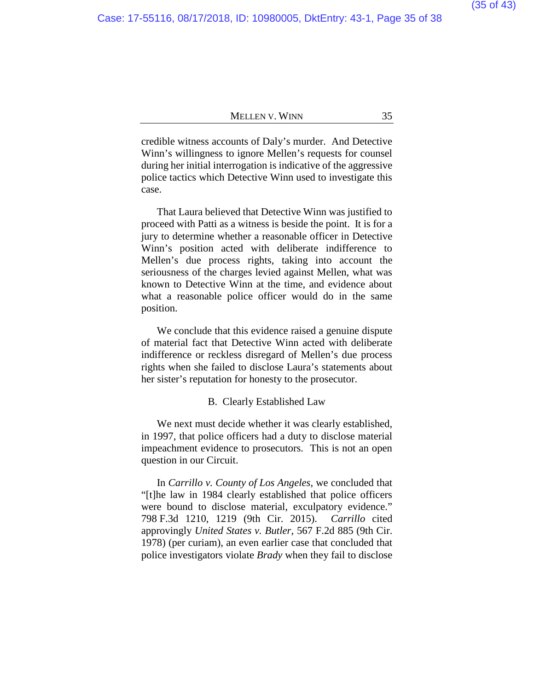credible witness accounts of Daly's murder. And Detective Winn's willingness to ignore Mellen's requests for counsel during her initial interrogation is indicative of the aggressive police tactics which Detective Winn used to investigate this case.

That Laura believed that Detective Winn was justified to proceed with Patti as a witness is beside the point. It is for a jury to determine whether a reasonable officer in Detective Winn's position acted with deliberate indifference to Mellen's due process rights, taking into account the seriousness of the charges levied against Mellen, what was known to Detective Winn at the time, and evidence about what a reasonable police officer would do in the same position.

We conclude that this evidence raised a genuine dispute of material fact that Detective Winn acted with deliberate indifference or reckless disregard of Mellen's due process rights when she failed to disclose Laura's statements about her sister's reputation for honesty to the prosecutor.

#### B. Clearly Established Law

We next must decide whether it was clearly established, in 1997, that police officers had a duty to disclose material impeachment evidence to prosecutors. This is not an open question in our Circuit.

In *Carrillo v. County of Los Angeles*, we concluded that "[t]he law in 1984 clearly established that police officers were bound to disclose material, exculpatory evidence." 798 F.3d 1210, 1219 (9th Cir. 2015). *Carrillo* cited approvingly *United States v. Butler*, 567 F.2d 885 (9th Cir. 1978) (per curiam), an even earlier case that concluded that police investigators violate *Brady* when they fail to disclose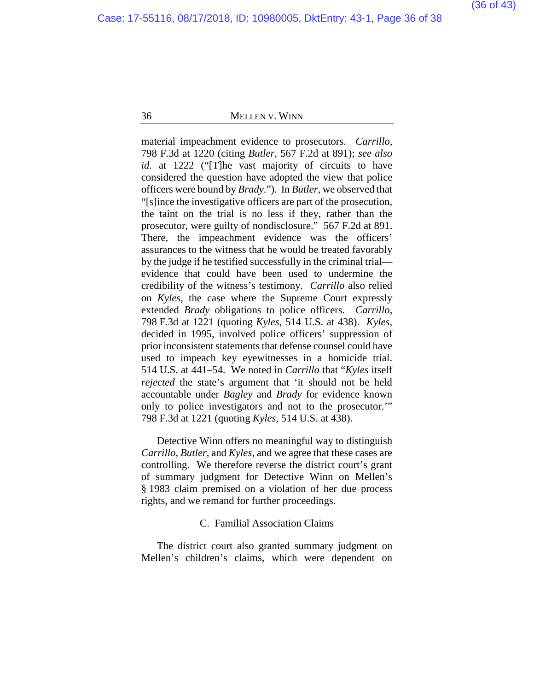material impeachment evidence to prosecutors. *Carrillo*, 798 F.3d at 1220 (citing *Butler*, 567 F.2d at 891); *see also id.* at 1222 ("[T]he vast majority of circuits to have considered the question have adopted the view that police officers were bound by *Brady*."). In *Butler*, we observed that "[s]ince the investigative officers are part of the prosecution, the taint on the trial is no less if they, rather than the prosecutor, were guilty of nondisclosure." 567 F.2d at 891. There, the impeachment evidence was the officers' assurances to the witness that he would be treated favorably by the judge if he testified successfully in the criminal trial evidence that could have been used to undermine the credibility of the witness's testimony. *Carrillo* also relied on *Kyles*, the case where the Supreme Court expressly extended *Brady* obligations to police officers. *Carrillo*, 798 F.3d at 1221 (quoting *Kyles*, 514 U.S. at 438). *Kyles*, decided in 1995, involved police officers' suppression of prior inconsistent statements that defense counsel could have used to impeach key eyewitnesses in a homicide trial. 514 U.S. at 441–54. We noted in *Carrillo* that "*Kyles* itself *rejected* the state's argument that 'it should not be held accountable under *Bagley* and *Brady* for evidence known only to police investigators and not to the prosecutor.'" 798 F.3d at 1221 (quoting *Kyles*, 514 U.S. at 438).

Detective Winn offers no meaningful way to distinguish *Carrillo*, *Butler*, and *Kyles*, and we agree that these cases are controlling. We therefore reverse the district court's grant of summary judgment for Detective Winn on Mellen's § 1983 claim premised on a violation of her due process rights, and we remand for further proceedings.

### C. Familial Association Claims

The district court also granted summary judgment on Mellen's children's claims, which were dependent on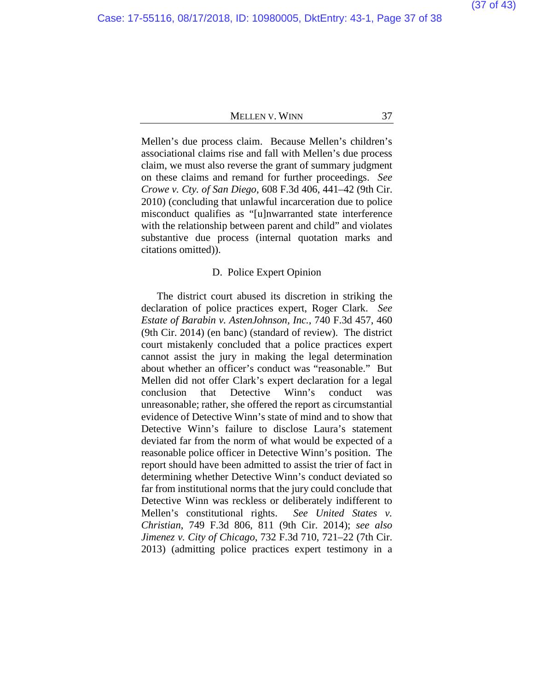Mellen's due process claim. Because Mellen's children's associational claims rise and fall with Mellen's due process claim, we must also reverse the grant of summary judgment on these claims and remand for further proceedings. *See Crowe v. Cty. of San Diego*, 608 F.3d 406, 441–42 (9th Cir. 2010) (concluding that unlawful incarceration due to police misconduct qualifies as "[u]nwarranted state interference with the relationship between parent and child" and violates substantive due process (internal quotation marks and citations omitted)).

#### D. Police Expert Opinion

The district court abused its discretion in striking the declaration of police practices expert, Roger Clark. *See Estate of Barabin v. AstenJohnson, Inc.*, 740 F.3d 457, 460 (9th Cir. 2014) (en banc) (standard of review). The district court mistakenly concluded that a police practices expert cannot assist the jury in making the legal determination about whether an officer's conduct was "reasonable." But Mellen did not offer Clark's expert declaration for a legal conclusion that Detective Winn's conduct was unreasonable; rather, she offered the report as circumstantial evidence of Detective Winn's state of mind and to show that Detective Winn's failure to disclose Laura's statement deviated far from the norm of what would be expected of a reasonable police officer in Detective Winn's position. The report should have been admitted to assist the trier of fact in determining whether Detective Winn's conduct deviated so far from institutional norms that the jury could conclude that Detective Winn was reckless or deliberately indifferent to Mellen's constitutional rights. *See United States v. Christian*, 749 F.3d 806, 811 (9th Cir. 2014); *see also Jimenez v. City of Chicago*, 732 F.3d 710, 721–22 (7th Cir. 2013) (admitting police practices expert testimony in a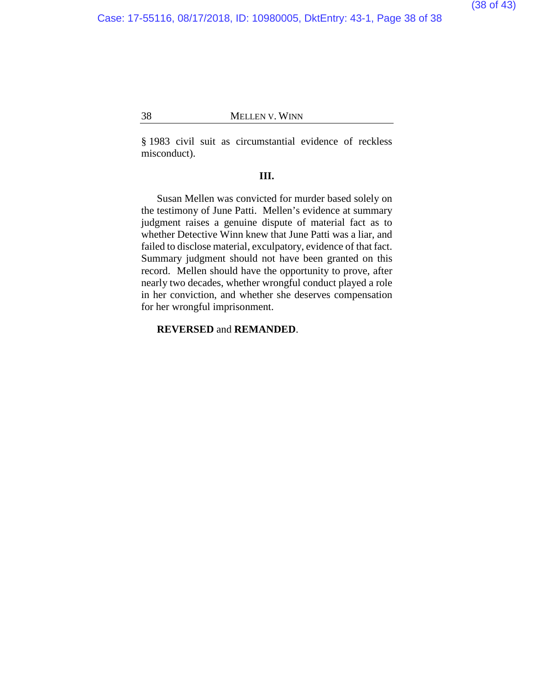§ 1983 civil suit as circumstantial evidence of reckless misconduct).

### **III.**

Susan Mellen was convicted for murder based solely on the testimony of June Patti. Mellen's evidence at summary judgment raises a genuine dispute of material fact as to whether Detective Winn knew that June Patti was a liar, and failed to disclose material, exculpatory, evidence of that fact. Summary judgment should not have been granted on this record. Mellen should have the opportunity to prove, after nearly two decades, whether wrongful conduct played a role in her conviction, and whether she deserves compensation for her wrongful imprisonment.

### **REVERSED** and **REMANDED**.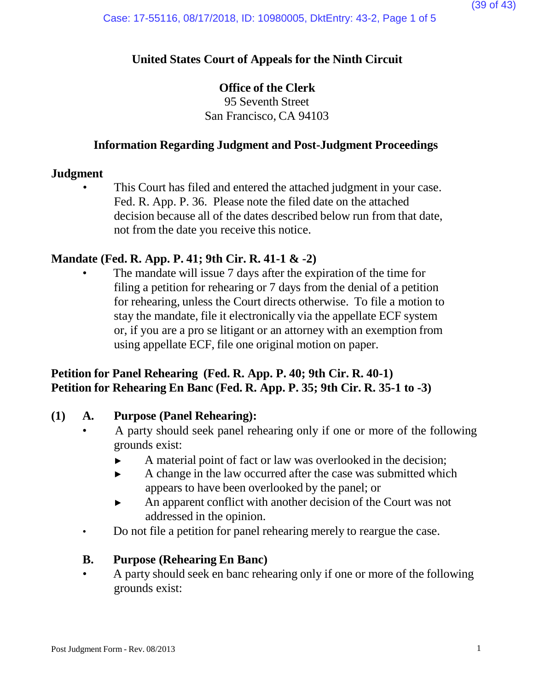# **United States Court of Appeals for the Ninth Circuit**

# **Office of the Clerk**

95 Seventh Street San Francisco, CA 94103

# **Information Regarding Judgment and Post-Judgment Proceedings**

# **Judgment**

This Court has filed and entered the attached judgment in your case. Fed. R. App. P. 36. Please note the filed date on the attached decision because all of the dates described below run from that date, not from the date you receive this notice.

# **Mandate (Fed. R. App. P. 41; 9th Cir. R. 41-1 & -2)**

The mandate will issue 7 days after the expiration of the time for filing a petition for rehearing or 7 days from the denial of a petition for rehearing, unless the Court directs otherwise. To file a motion to stay the mandate, file it electronically via the appellate ECF system or, if you are a pro se litigant or an attorney with an exemption from using appellate ECF, file one original motion on paper.

# **Petition for Panel Rehearing (Fed. R. App. P. 40; 9th Cir. R. 40-1) Petition for Rehearing En Banc (Fed. R. App. P. 35; 9th Cir. R. 35-1 to -3)**

# **(1) A. Purpose (Panel Rehearing):**

- A party should seek panel rehearing only if one or more of the following grounds exist:
	- ► A material point of fact or law was overlooked in the decision;
	- ► A change in the law occurred after the case was submitted which appears to have been overlooked by the panel; or
	- ► An apparent conflict with another decision of the Court was not addressed in the opinion.
- Do not file a petition for panel rehearing merely to reargue the case.

# **B. Purpose (Rehearing En Banc)**

• A party should seek en banc rehearing only if one or more of the following grounds exist: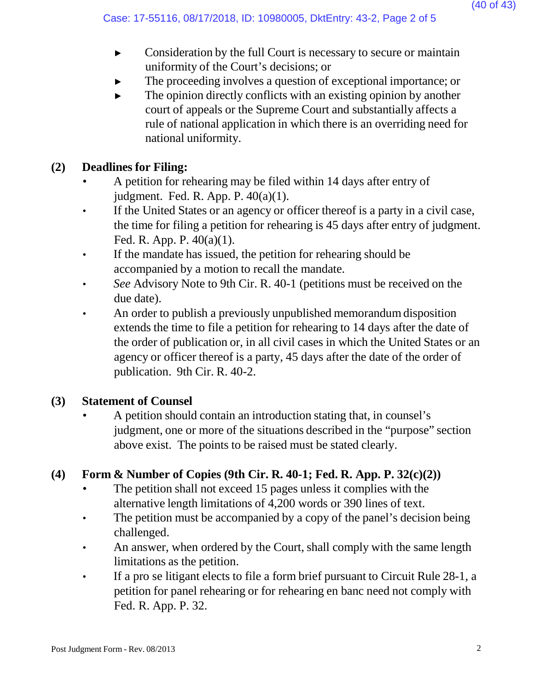- ► Consideration by the full Court is necessary to secure or maintain uniformity of the Court's decisions; or
- The proceeding involves a question of exceptional importance; or
- $\blacktriangleright$  The opinion directly conflicts with an existing opinion by another court of appeals or the Supreme Court and substantially affects a rule of national application in which there is an overriding need for national uniformity.

# **(2) Deadlines for Filing:**

- A petition for rehearing may be filed within 14 days after entry of judgment. Fed. R. App. P. 40(a)(1).
- If the United States or an agency or officer thereof is a party in a civil case, the time for filing a petition for rehearing is 45 days after entry of judgment. Fed. R. App. P. 40(a)(1).
- If the mandate has issued, the petition for rehearing should be accompanied by a motion to recall the mandate.
- *See* Advisory Note to 9th Cir. R. 40-1 (petitions must be received on the due date).
- An order to publish a previously unpublished memorandum disposition extends the time to file a petition for rehearing to 14 days after the date of the order of publication or, in all civil cases in which the United States or an agency or officer thereof is a party, 45 days after the date of the order of publication. 9th Cir. R. 40-2.

# **(3) Statement of Counsel**

• A petition should contain an introduction stating that, in counsel's judgment, one or more of the situations described in the "purpose" section above exist. The points to be raised must be stated clearly.

# **(4) Form & Number of Copies (9th Cir. R. 40-1; Fed. R. App. P. 32(c)(2))**

- The petition shall not exceed 15 pages unless it complies with the alternative length limitations of 4,200 words or 390 lines of text.
- The petition must be accompanied by a copy of the panel's decision being challenged.
- An answer, when ordered by the Court, shall comply with the same length limitations as the petition.
- If a pro se litigant elects to file a form brief pursuant to Circuit Rule 28-1, a petition for panel rehearing or for rehearing en banc need not comply with Fed. R. App. P. 32.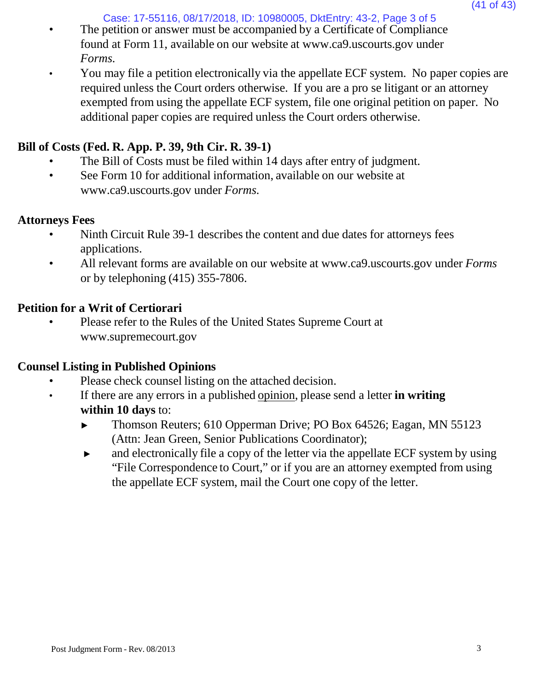Case: 17-55116, 08/17/2018, ID: 10980005, DktEntry: 43-2, Page 3 of 5

- The petition or answer must be accompanied by a Certificate of Compliance found at Form 11, available on our website [at www.ca9.uscourts.gov](http://www.ca9.uscourts.gov/) under *Forms.*
- You may file a petition electronically via the appellate ECF system. No paper copies are required unless the Court orders otherwise. If you are a pro se litigant or an attorney exempted from using the appellate ECF system, file one original petition on paper. No additional paper copies are required unless the Court orders otherwise.

# **Bill of Costs (Fed. R. App. P. 39, 9th Cir. R. 39-1)**

- The Bill of Costs must be filed within 14 days after entry of judgment.
- See Form 10 for addi[t](http://www.ca9.uscourts.gov/)ional information, available on our website at [www.ca9.uscourts.gov](http://www.ca9.uscourts.gov/) under *Forms.*

# **Attorneys Fees**

- Ninth Circuit Rule 39-1 describes the content and due dates for attorneys fees applications.
- All relevant forms are available on our website at [www.ca9.uscourts.gov](http://www.ca9.uscourts.gov/) under *Forms* or by telephoning (415) 355-7806.

# **Petition for a Writ of Certiorari**

• Please refer to the Rules of the United States Supreme Court a[t](http://www.supremecourt.gov/) [www.supremecourt.gov](http://www.supremecourt.gov/)

# **Counsel Listing in Published Opinions**

- Please check counsel listing on the attached decision.
- If there are any errors in a published opinion, please send a letter **in writing within 10 days** to:
	- ► Thomson Reuters; 610 Opperman Drive; PO Box 64526; Eagan, MN 55123 (Attn: Jean Green, Senior Publications Coordinator);
	- ► and electronically file a copy of the letter via the appellate ECF system by using "File Correspondence to Court," or if you are an attorney exempted from using the appellate ECF system, mail the Court one copy of the letter.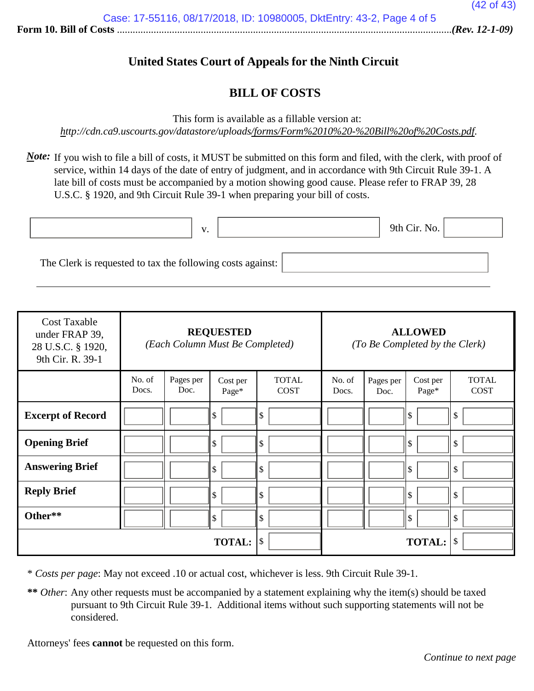# **United States Court of Appeals for the Ninth Circuit**

# **BILL OF COSTS**

This form is available as a fillable version at:

*<http://cdn.ca9.uscourts.gov/datastore/uploads/forms/Form%2010%20-%20Bill%20of%20Costs.pdf>*.

*Note*: If you wish to file a bill of costs, it MUST be submitted on this form and filed, with the clerk, with proof of service, within 14 days of the date of entry of judgment, and in accordance with 9th Circuit Rule 39-1. A late bill of costs must be accompanied by a motion showing good cause. Please refer to FRAP 39, 28 U.S.C. § 1920, and 9th Circuit Rule 39-1 when preparing your bill of costs.

|                                                            | $\bf{V}$ |  | 9th Cir. No. |  |
|------------------------------------------------------------|----------|--|--------------|--|
|                                                            |          |  |              |  |
| The Clerk is requested to tax the following costs against: |          |  |              |  |

| <b>Cost Taxable</b><br>under FRAP 39,<br>28 U.S.C. § 1920,<br>9th Cir. R. 39-1 | <b>REQUESTED</b><br>(Each Column Must Be Completed) |                   |                   |                             | <b>ALLOWED</b><br>(To Be Completed by the Clerk) |                   |                   |                             |
|--------------------------------------------------------------------------------|-----------------------------------------------------|-------------------|-------------------|-----------------------------|--------------------------------------------------|-------------------|-------------------|-----------------------------|
|                                                                                | No. of<br>Docs.                                     | Pages per<br>Doc. | Cost per<br>Page* | <b>TOTAL</b><br><b>COST</b> | No. of<br>Docs.                                  | Pages per<br>Doc. | Cost per<br>Page* | <b>TOTAL</b><br><b>COST</b> |
| <b>Excerpt of Record</b>                                                       |                                                     |                   | \$                | \$                          |                                                  |                   | ll \$             | \$                          |
| <b>Opening Brief</b>                                                           |                                                     |                   | \$                | \$                          |                                                  |                   | l \$              | \$                          |
| <b>Answering Brief</b>                                                         |                                                     |                   | \$                | \$                          |                                                  |                   | l \$              | \$                          |
| <b>Reply Brief</b>                                                             |                                                     |                   | \$                | $\sqrt{3}$                  |                                                  |                   | ll \$             | \$                          |
| Other**                                                                        |                                                     |                   | \$                | $\mathcal{S}$               |                                                  |                   | ll \$             | \$                          |
|                                                                                |                                                     |                   | <b>TOTAL:</b>     | \$                          |                                                  |                   | <b>TOTAL:</b>     | \$                          |

\* *Costs per page*: May not exceed .10 or actual cost, whichever is less. 9th Circuit Rule 39-1.

**\*\*** *Other*: Any other requests must be accompanied by a statement explaining why the item(s) should be taxed pursuant to 9th Circuit Rule 39-1. Additional items without such supporting statements will not be considered.

Attorneys' fees **cannot** be requested on this form.